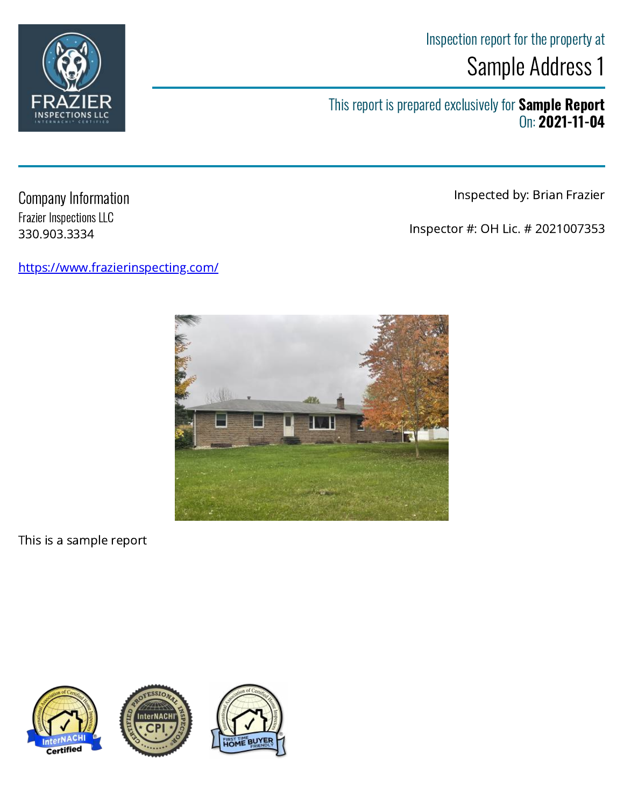## Inspection report for the property at Sample Address 1

This report is prepared exclusively for **Sample Report** On: 2021-11-04

Inspected by: Brian Frazier

Inspector #: OH Lic. # 2021007353

Company Information Frazier Inspections LLC 330.903.3334

<https://www.frazierinspecting.com/>











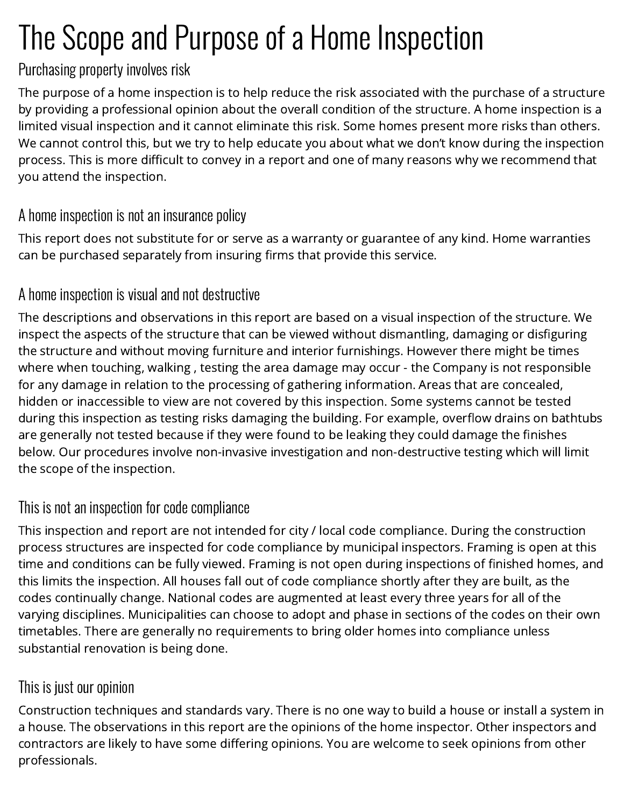# The Scope and Purpose of a Home Inspection

## Purchasing property involves risk

The purpose of a home inspection is to help reduce the risk associated with the purchase of a structure by providing a professional opinion about the overall condition of the structure. A home inspection is a limited visual inspection and it cannot eliminate this risk. Some homes present more risks than others. We cannot control this, but we try to help educate you about what we don't know during the inspection process. This is more difficult to convey in a report and one of many reasons why we recommend that you attend the inspection.

## A home inspection is not an insurance policy

This report does not substitute for or serve as a warranty or guarantee of any kind. Home warranties can be purchased separately from insuring firms that provide this service.

## A home inspection is visual and not destructive

The descriptions and observations in this report are based on a visual inspection of the structure. We inspect the aspects of the structure that can be viewed without dismantling, damaging or disfiguring the structure and without moving furniture and interior furnishings. However there might be times where when touching, walking , testing the area damage may occur - the Company is not responsible for any damage in relation to the processing of gathering information. Areas that are concealed, hidden or inaccessible to view are not covered by this inspection. Some systems cannot be tested during this inspection as testing risks damaging the building. For example, overflow drains on bathtubs are generally not tested because if they were found to be leaking they could damage the finishes below. Our procedures involve non-invasive investigation and non-destructive testing which will limit the scope of the inspection.

## This is not an inspection for code compliance

This inspection and report are not intended for city / local code compliance. During the construction process structures are inspected for code compliance by municipal inspectors. Framing is open at this time and conditions can be fully viewed. Framing is not open during inspections of finished homes, and this limits the inspection. All houses fall out of code compliance shortly after they are built, as the codes continually change. National codes are augmented at least every three years for all of the varying disciplines. Municipalities can choose to adopt and phase in sections of the codes on their own timetables. There are generally no requirements to bring older homes into compliance unless substantial renovation is being done.

## This is just our opinion

Construction techniques and standards vary. There is no one way to build a house or install a system in a house. The observations in this report are the opinions of the home inspector. Other inspectors and contractors are likely to have some differing opinions. You are welcome to seek opinions from other professionals.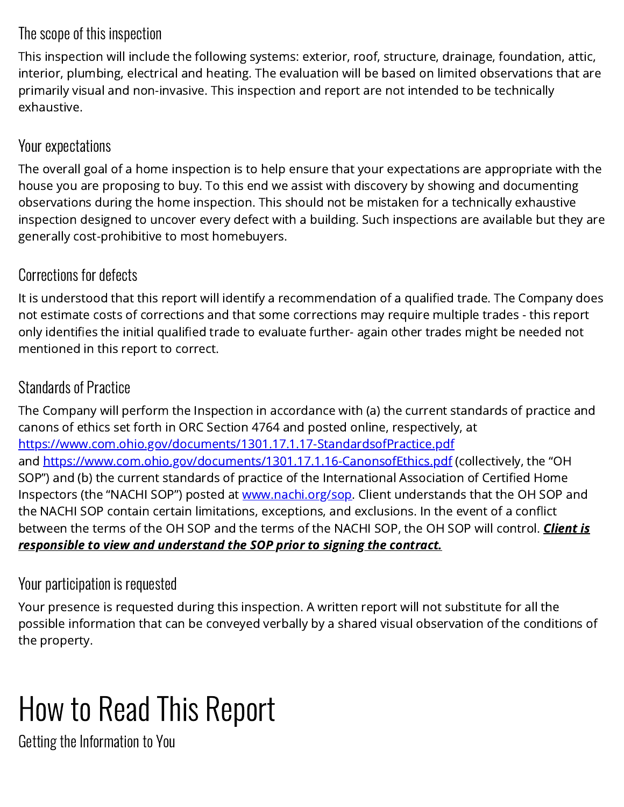## The scope of this inspection

This inspection will include the following systems: exterior, roof, structure, drainage, foundation, attic, interior, plumbing, electrical and heating. The evaluation will be based on limited observations that are primarily visual and non-invasive. This inspection and report are not intended to be technically exhaustive.

## Your expectations

The overall goal of a home inspection is to help ensure that your expectations are appropriate with the house you are proposing to buy. To this end we assist with discovery by showing and documenting observations during the home inspection. This should not be mistaken for a technically exhaustive inspection designed to uncover every defect with a building. Such inspections are available but they are generally cost-prohibitive to most homebuyers.

## Corrections for defects

It is understood that this report will identify a recommendation of a qualified trade. The Company does not estimate costs of corrections and that some corrections may require multiple trades - this report only identifies the initial qualified trade to evaluate further- again other trades might be needed not mentioned in this report to correct.

## Standards of Practice

The Company will perform the Inspection in accordance with (a) the current standards of practice and canons of ethics set forth in ORC Section 4764 and posted online, respectively, at <https://www.com.ohio.gov/documents/1301.17.1.17-StandardsofPractice.pdf> and <https://www.com.ohio.gov/documents/1301.17.1.16-CanonsofEthics.pdf>(collectively, the "OH SOP") and (b) the current standards of practice of the International Association of Certified Home Inspectors (the "NACHI SOP") posted at [www.nachi.org/sop.](http://www.nachi.org/sop) Client understands that the OH SOP and the NACHI SOP contain certain limitations, exceptions, and exclusions. In the event of a conflict between the terms of the OH SOP and the terms of the NACHI SOP, the OH SOP will control. Client is responsible to view and understand the SOP prior to signing the contract.

## Your participation is requested

Your presence is requested during this inspection. A written report will not substitute for all the possible information that can be conveyed verbally by a shared visual observation of the conditions of the property.

# How to Read This Report

Getting the Information to You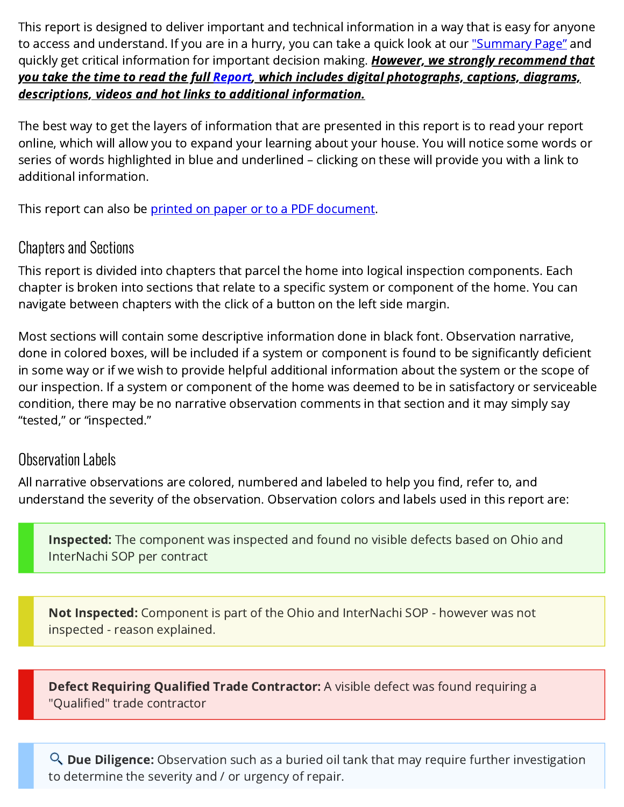This report is designed to deliver important and technical information in a way that is easy for anyone to access and understand. If you are in a hurry, you can take a quick look at our <u>["Summary Page"](#page-5-0)</u> and quickly get critical information for important decision making. However, we strongly recommend that you take the time to read the full [Report,](#page-13-0) which includes digital photographs, captions, diagrams, descriptions, videos and hot links to additional information.

The best way to get the layers of information that are presented in this report is to read your report online, which will allow you to expand your learning about your house. You will notice some words or series of words highlighted in blue and underlined – clicking on these will provide you with a link to additional information.

This report can also be <u>printed on paper or to a PDF document</u>.

## Chapters and Sections

This report is divided into chapters that parcel the home into logical inspection components. Each chapter is broken into sections that relate to a specific system or component of the home. You can navigate between chapters with the click of a button on the left side margin.

Most sections will contain some descriptive information done in black font. Observation narrative, done in colored boxes, will be included if a system or component is found to be significantly deficient in some way or if we wish to provide helpful additional information about the system or the scope of our inspection. If a system or component of the home was deemed to be in satisfactory or serviceable condition, there may be no narrative observation comments in that section and it may simply say "tested," or "inspected."

## Observation Labels

All narrative observations are colored, numbered and labeled to help you find, refer to, and understand the severity of the observation. Observation colors and labels used in this report are:

**Inspected:** The component was inspected and found no visible defects based on Ohio and InterNachi SOP per contract

**Not Inspected:** Component is part of the Ohio and InterNachi SOP - however was not inspected - reason explained.

**Defect Requiring Qualified Trade Contractor:** A visible defect was found requiring a "Qualified" trade contractor

**Due Diligence:** Observation such as a buried oil tank that may require further investigation to determine the severity and / or urgency of repair.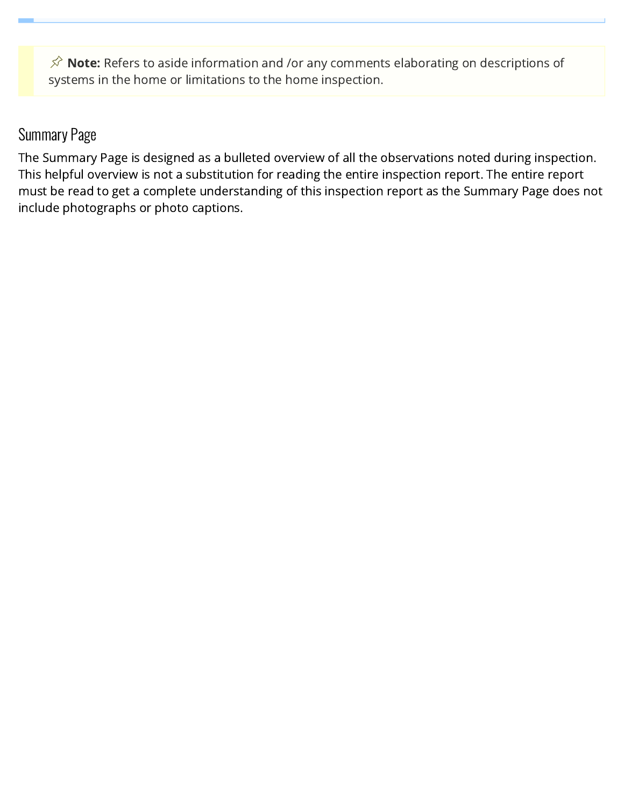$\hat{\mathcal{S}}$  Note: Refers to aside information and /or any comments elaborating on descriptions of systems in the home or limitations to the home inspection.

## Summary Page

The Summary Page is designed as a bulleted overview of all the observations noted during inspection. This helpful overview is not a substitution for reading the entire inspection report. The entire report must be read to get a complete understanding of this inspection report as the Summary Page does not include photographs or photo captions.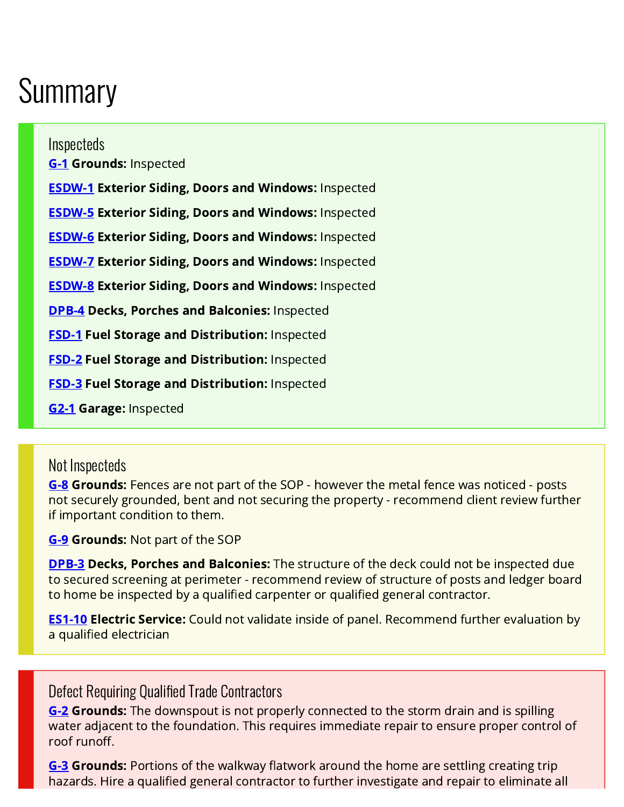## <span id="page-5-0"></span>**Summary**

#### Inspecteds

**[G-1](#page-14-0) Grounds: Inspected** 

**[ESDW-1](#page-16-0) Exterior Siding, Doors and Windows: Inspected [ESDW-5](#page-17-0) Exterior Siding, Doors and Windows: Inspected [ESDW-6](#page-17-1) Exterior Siding, Doors and Windows: Inspected [ESDW-7](#page-17-2) Exterior Siding, Doors and Windows: Inspected [ESDW-8](#page-17-3) Exterior Siding, Doors and Windows: Inspected [DPB-4](#page-18-0) Decks, Porches and Balconies: Inspected [FSD-1](#page-19-0) Fuel Storage and Distribution: Inspected [FSD-2](#page-19-1) Fuel Storage and Distribution: Inspected [FSD-3](#page-19-2) Fuel Storage and Distribution: Inspected** 

[G2-1](#page-19-3) Garage: Inspected

### Not Inspecteds

[G-8](#page-16-1) Grounds: Fences are not part of the SOP - however the metal fence was noticed - posts not securely grounded, bent and not securing the property - recommend client review further if important condition to them.

[G-9](#page-16-2) Grounds: Not part of the SOP

[DPB-3](#page-18-1) Decks, Porches and Balconies: The structure of the deck could not be inspected due to secured screening at perimeter - recommend review of structure of posts and ledger board to home be inspected by a qualified carpenter or qualified general contractor.

**[ES1-10](#page-24-0) Electric Service:** Could not validate inside of panel. Recommend further evaluation by a qualified electrician

## Defect Requiring Qualified Trade Contractors

**[G-2](#page-15-0) Grounds:** The downspout is not properly connected to the storm drain and is spilling water adjacent to the foundation. This requires immediate repair to ensure proper control of roof runoff.

**[G-3](#page-15-1) Grounds:** Portions of the walkway flatwork around the home are settling creating trip hazards. Hire a qualified general contractor to further investigate and repair to eliminate all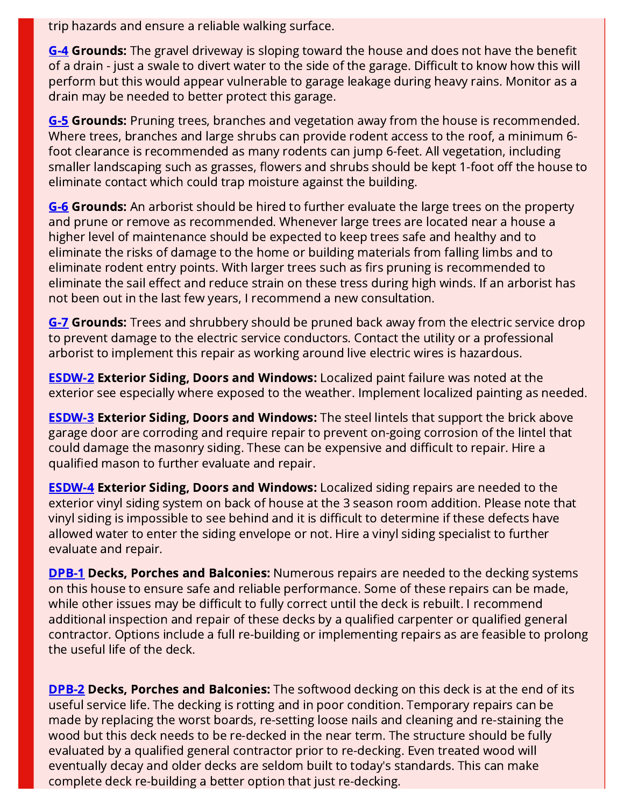trip hazards and ensure a reliable walking surface.

[G-4](#page-15-2) Grounds: The gravel driveway is sloping toward the house and does not have the benefit of a drain - just a swale to divert water to the side of the garage. Difficult to know how this will perform but this would appear vulnerable to garage leakage during heavy rains. Monitor as a drain may be needed to better protect this garage.

[G-5](#page-15-3) Grounds: Pruning trees, branches and vegetation away from the house is recommended. Where trees, branches and large shrubs can provide rodent access to the roof, a minimum 6 foot clearance is recommended as many rodents can jump 6-feet. All vegetation, including smaller landscaping such as grasses, flowers and shrubs should be kept 1-foot off the house to eliminate contact which could trap moisture against the building.

**[G-6](#page-15-4) Grounds:** An arborist should be hired to further evaluate the large trees on the property and prune or remove as recommended. Whenever large trees are located near a house a higher level of maintenance should be expected to keep trees safe and healthy and to eliminate the risks of damage to the home or building materials from falling limbs and to eliminate rodent entry points. With larger trees such as firs pruning is recommended to eliminate the sail effect and reduce strain on these tress during high winds. If an arborist has not been out in the last few years, I recommend a new consultation.

**[G-7](#page-16-3) Grounds:** Trees and shrubbery should be pruned back away from the electric service drop to prevent damage to the electric service conductors. Contact the utility or a professional arborist to implement this repair as working around live electric wires is hazardous.

[ESDW-2](#page-16-4) Exterior Siding, Doors and Windows: Localized paint failure was noted at the exterior see especially where exposed to the weather. Implement localized painting as needed.

**[ESDW-3](#page-16-5) Exterior Siding, Doors and Windows:** The steel lintels that support the brick above garage door are corroding and require repair to prevent on-going corrosion of the lintel that could damage the masonry siding. These can be expensive and difficult to repair. Hire a qualified mason to further evaluate and repair.

[ESDW-4](#page-17-4) Exterior Siding, Doors and Windows: Localized siding repairs are needed to the exterior vinyl siding system on back of house at the 3 season room addition. Please note that vinyl siding is impossible to see behind and it is difficult to determine if these defects have allowed water to enter the siding envelope or not. Hire a vinyl siding specialist to further evaluate and repair.

**[DPB-1](#page-18-2) Decks, Porches and Balconies:** Numerous repairs are needed to the decking systems on this house to ensure safe and reliable performance. Some of these repairs can be made, while other issues may be difficult to fully correct until the deck is rebuilt. I recommend additional inspection and repair of these decks by a qualified carpenter or qualified general contractor. Options include a full re-building or implementing repairs as are feasible to prolong the useful life of the deck.

**[DPB-2](#page-18-3) Decks, Porches and Balconies:** The softwood decking on this deck is at the end of its useful service life. The decking is rotting and in poor condition. Temporary repairs can be made by replacing the worst boards, re-setting loose nails and cleaning and re-staining the wood but this deck needs to be re-decked in the near term. The structure should be fully evaluated by a qualified general contractor prior to re-decking. Even treated wood will eventually decay and older decks are seldom built to today's standards. This can make complete deck re-building a better option that just re-decking.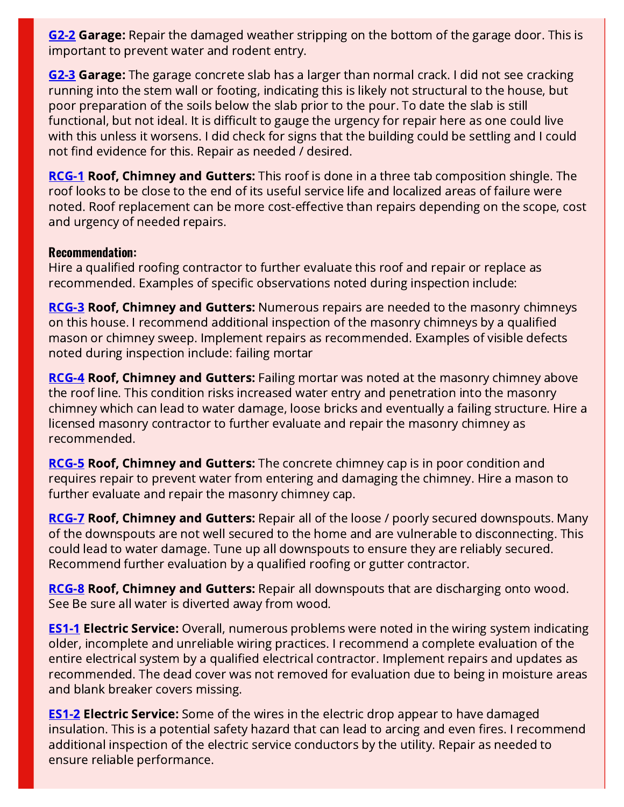**[G2-2](#page-19-4) Garage:** Repair the damaged weather stripping on the bottom of the garage door. This is important to prevent water and rodent entry.

**[G2-3](#page-20-0) Garage:** The garage concrete slab has a larger than normal crack. I did not see cracking running into the stem wall or footing, indicating this is likely not structural to the house, but poor preparation of the soils below the slab prior to the pour. To date the slab is still functional, but not ideal. It is difficult to gauge the urgency for repair here as one could live with this unless it worsens. I did check for signs that the building could be settling and I could not find evidence for this. Repair as needed / desired.

[RCG-1](#page-20-1) Roof, Chimney and Gutters: This roof is done in a three tab composition shingle. The roof looks to be close to the end of its useful service life and localized areas of failure were noted. Roof replacement can be more cost-effective than repairs depending on the scope, cost and urgency of needed repairs.

#### Recommendation:

Hire a qualified roofing contractor to further evaluate this roof and repair or replace as recommended. Examples of specific observations noted during inspection include:

**[RCG-3](#page-21-0) Roof, Chimney and Gutters:** Numerous repairs are needed to the masonry chimneys on this house. I recommend additional inspection of the masonry chimneys by a qualified mason or chimney sweep. Implement repairs as recommended. Examples of visible defects noted during inspection include: failing mortar

**[RCG-4](#page-21-1) Roof, Chimney and Gutters:** Failing mortar was noted at the masonry chimney above the roof line. This condition risks increased water entry and penetration into the masonry chimney which can lead to water damage, loose bricks and eventually a failing structure. Hire a licensed masonry contractor to further evaluate and repair the masonry chimney as recommended.

**[RCG-5](#page-21-2) Roof, Chimney and Gutters:** The concrete chimney cap is in poor condition and requires repair to prevent water from entering and damaging the chimney. Hire a mason to further evaluate and repair the masonry chimney cap.

**[RCG-7](#page-22-0) Roof, Chimney and Gutters:** Repair all of the loose / poorly secured downspouts. Many of the downspouts are not well secured to the home and are vulnerable to disconnecting. This could lead to water damage. Tune up all downspouts to ensure they are reliably secured. Recommend further evaluation by a qualified roofing or gutter contractor.

[RCG-8](#page-22-1) Roof, Chimney and Gutters: Repair all downspouts that are discharging onto wood. See Be sure all water is diverted away from wood.

**[ES1-1](#page-22-2) Electric Service:** Overall, numerous problems were noted in the wiring system indicating older, incomplete and unreliable wiring practices. I recommend a complete evaluation of the entire electrical system by a qualified electrical contractor. Implement repairs and updates as recommended. The dead cover was not removed for evaluation due to being in moisture areas and blank breaker covers missing.

[ES1-2](#page-23-0) Electric Service: Some of the wires in the electric drop appear to have damaged insulation. This is a potential safety hazard that can lead to arcing and even fires. I recommend additional inspection of the electric service conductors by the utility. Repair as needed to ensure reliable performance.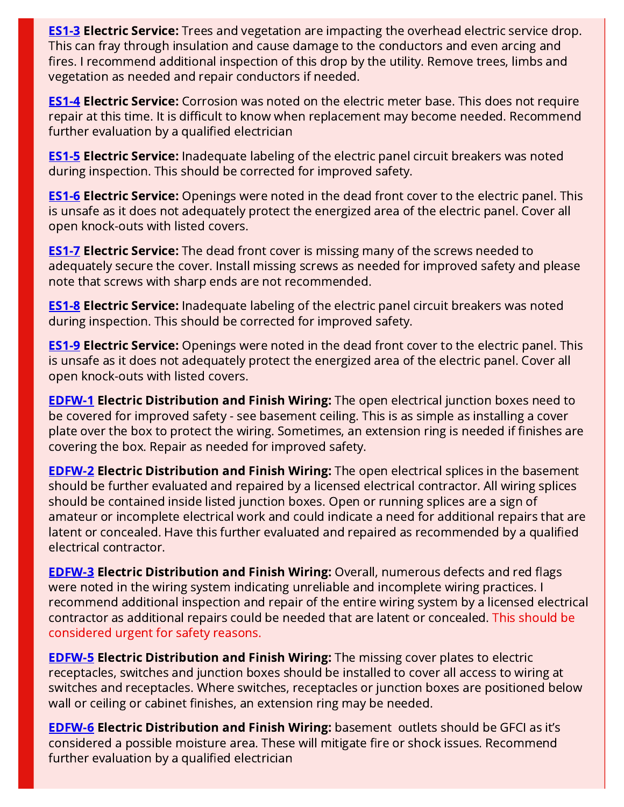**[ES1-3](#page-23-1) Electric Service:** Trees and vegetation are impacting the overhead electric service drop. This can fray through insulation and cause damage to the conductors and even arcing and fires. I recommend additional inspection of this drop by the utility. Remove trees, limbs and vegetation as needed and repair conductors if needed.

**[ES1-4](#page-23-2) Electric Service:** Corrosion was noted on the electric meter base. This does not require repair at this time. It is difficult to know when replacement may become needed. Recommend further evaluation by a qualified electrician

**[ES1-5](#page-23-3) Electric Service:** Inadequate labeling of the electric panel circuit breakers was noted during inspection. This should be corrected for improved safety.

**[ES1-6](#page-24-1) Electric Service:** Openings were noted in the dead front cover to the electric panel. This is unsafe as it does not adequately protect the energized area of the electric panel. Cover all open knock-outs with listed covers.

**[ES1-7](#page-24-2) Electric Service:** The dead front cover is missing many of the screws needed to adequately secure the cover. Install missing screws as needed for improved safety and please note that screws with sharp ends are not recommended.

**[ES1-8](#page-24-3) Electric Service:** Inadequate labeling of the electric panel circuit breakers was noted during inspection. This should be corrected for improved safety.

**[ES1-9](#page-24-4) Electric Service:** Openings were noted in the dead front cover to the electric panel. This is unsafe as it does not adequately protect the energized area of the electric panel. Cover all open knock-outs with listed covers.

**[EDFW-1](#page-25-0) Electric Distribution and Finish Wiring:** The open electrical junction boxes need to be covered for improved safety - see basement ceiling. This is as simple as installing a cover plate over the box to protect the wiring. Sometimes, an extension ring is needed if finishes are covering the box. Repair as needed for improved safety.

[EDFW-2](#page-25-1) Electric Distribution and Finish Wiring: The open electrical splices in the basement should be further evaluated and repaired by a licensed electrical contractor. All wiring splices should be contained inside listed junction boxes. Open or running splices are a sign of amateur or incomplete electrical work and could indicate a need for additional repairs that are latent or concealed. Have this further evaluated and repaired as recommended by a qualified electrical contractor.

[EDFW-3](#page-25-2) Electric Distribution and Finish Wiring: Overall, numerous defects and red flags were noted in the wiring system indicating unreliable and incomplete wiring practices. I recommend additional inspection and repair of the entire wiring system by a licensed electrical contractor as additional repairs could be needed that are latent or concealed. This should be considered urgent for safety reasons.

[EDFW-5](#page-25-3) Electric Distribution and Finish Wiring: The missing cover plates to electric receptacles, switches and junction boxes should be installed to cover all access to wiring at switches and receptacles. Where switches, receptacles or junction boxes are positioned below wall or ceiling or cabinet finishes, an extension ring may be needed.

**[EDFW-6](#page-25-4) Electric Distribution and Finish Wiring:** basement outlets should be GFCI as it's considered a possible moisture area. These will mitigate fire or shock issues. Recommend further evaluation by a qualified electrician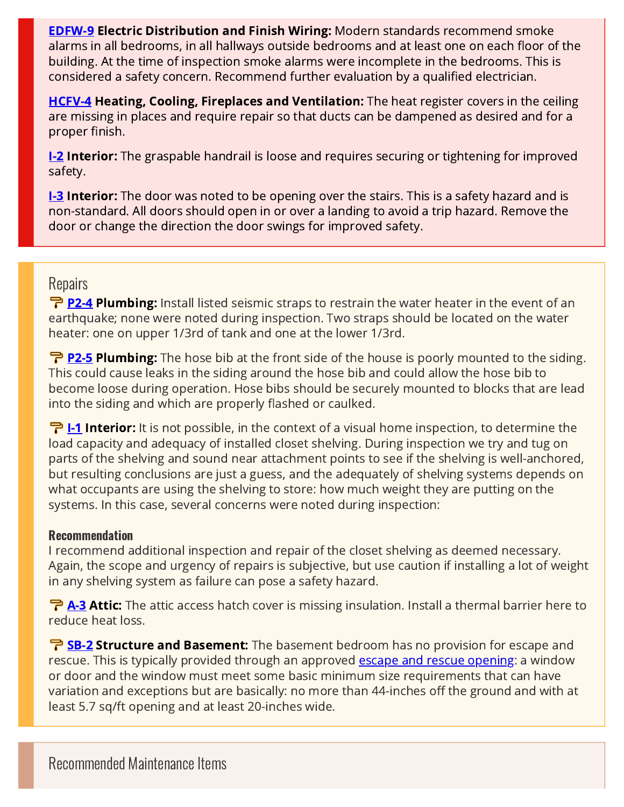**[EDFW-9](#page-27-0) Electric Distribution and Finish Wiring: Modern standards recommend smoke** alarms in all bedrooms, in all hallways outside bedrooms and at least one on each floor of the building. At the time of inspection smoke alarms were incomplete in the bedrooms. This is considered a safety concern. Recommend further evaluation by a qualified electrician.

[HCFV-4](#page-30-0) Heating, Cooling, Fireplaces and Ventilation: The heat register covers in the ceiling are missing in places and require repair so that ducts can be dampened as desired and for a proper finish.

**[I-2](#page-36-0) Interior:** The graspable handrail is loose and requires securing or tightening for improved safety.

**[I-3](#page-36-1) Interior:** The door was noted to be opening over the stairs. This is a safety hazard and is non-standard. All doors should open in or over a landing to avoid a trip hazard. Remove the door or change the direction the door swings for improved safety.

### **Repairs**

P<sub>2-4</sub> Plumbing: Install listed seismic straps to restrain the water heater in the event of an earthquake; none were noted during inspection. Two straps should be located on the water heater: one on upper 1/3rd of tank and one at the lower 1/3rd.

**P** [P2-5](#page-34-1) Plumbing: The hose bib at the front side of the house is poorly mounted to the siding. This could cause leaks in the siding around the hose bib and could allow the hose bib to become loose during operation. Hose bibs should be securely mounted to blocks that are lead into the siding and which are properly flashed or caulked.

**구 [I-1](#page-36-2) Interior:** It is not possible, in the context of a visual home inspection, to determine the load capacity and adequacy of installed closet shelving. During inspection we try and tug on parts of the shelving and sound near attachment points to see if the shelving is well-anchored, but resulting conclusions are just a guess, and the adequately of shelving systems depends on what occupants are using the shelving to store: how much weight they are putting on the systems. In this case, several concerns were noted during inspection:

#### Recommendation

I recommend additional inspection and repair of the closet shelving as deemed necessary. Again, the scope and urgency of repairs is subjective, but use caution if installing a lot of weight in any shelving system as failure can pose a safety hazard.

**P [A-3](#page-41-0) Attic:** The attic access hatch cover is missing insulation. Install a thermal barrier here to reduce heat loss.

**B-2 Structure and Basement:** The basement bedroom has no provision for escape and rescue. This is typically provided through an approved **escape and rescue opening**: a window or door and the window must meet some basic minimum size requirements that can have variation and exceptions but are basically: no more than 44-inches off the ground and with at least 5.7 sq/ft opening and at least 20-inches wide.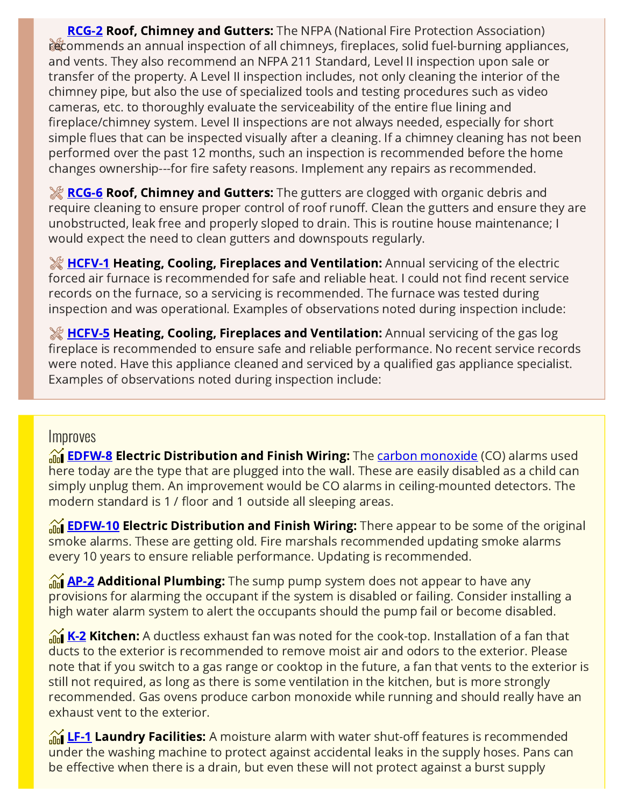**[RCG-2](#page-21-3) Roof, Chimney and Gutters:** The NFPA (National Fire Protection Association) recommends an annual inspection of all chimneys, fireplaces, solid fuel-burning appliances, and vents. They also recommend an NFPA 211 Standard, Level II inspection upon sale or transfer of the property. A Level II inspection includes, not only cleaning the interior of the chimney pipe, but also the use of specialized tools and testing procedures such as video cameras, etc. to thoroughly evaluate the serviceability of the entire flue lining and fireplace/chimney system. Level II inspections are not always needed, especially for short simple flues that can be inspected visually after a cleaning. If a chimney cleaning has not been performed over the past 12 months, such an inspection is recommended before the home changes ownership---for fire safety reasons. Implement any repairs as recommended.

**[RCG-6](#page-22-3) Roof, Chimney and Gutters:** The gutters are clogged with organic debris and require cleaning to ensure proper control of roof runoff. Clean the gutters and ensure they are unobstructed, leak free and properly sloped to drain. This is routine house maintenance; I would expect the need to clean gutters and downspouts regularly.

**[HCFV-1](#page-28-0) Heating, Cooling, Fireplaces and Ventilation:** Annual servicing of the electric forced air furnace is recommended for safe and reliable heat. I could not find recent service records on the furnace, so a servicing is recommended. The furnace was tested during inspection and was operational. Examples of observations noted during inspection include:

**[HCFV-5](#page-30-1) Heating, Cooling, Fireplaces and Ventilation:** Annual servicing of the gas log fireplace is recommended to ensure safe and reliable performance. No recent service records were noted. Have this appliance cleaned and serviced by a qualified gas appliance specialist. Examples of observations noted during inspection include:

#### **Improves**

**M** [EDFW-8](#page-27-1) Electric Distribution and Finish Wiring: The [carbon monoxide](https://www.doh.wa.gov/CommunityandEnvironment/Contaminants/CarbonMonoxide) (CO) alarms used here today are the type that are plugged into the wall. These are easily disabled as a child can simply unplug them. An improvement would be CO alarms in ceiling-mounted detectors. The modern standard is 1 / floor and 1 outside all sleeping areas.

**TH** [EDFW-10](#page-27-2) Electric Distribution and Finish Wiring: There appear to be some of the original smoke alarms. These are getting old. Fire marshals recommended updating smoke alarms every 10 years to ensure reliable performance. Updating is recommended.

 $\mathcal{M}_{\text{max}}$  Additional Plumbing: The sump pump system does not appear to have any provisions for alarming the occupant if the system is disabled or failing. Consider installing a high water alarm system to alert the occupants should the pump fail or become disabled.

 $\frac{K}{\ln 1}$  [K-2](#page-38-0) Kitchen: A ductless exhaust fan was noted for the cook-top. Installation of a fan that ducts to the exterior is recommended to remove moist air and odors to the exterior. Please note that if you switch to a gas range or cooktop in the future, a fan that vents to the exterior is still not required, as long as there is some ventilation in the kitchen, but is more strongly recommended. Gas ovens produce carbon monoxide while running and should really have an exhaust vent to the exterior.

 $\mathcal{M}_{\text{min}}$  [LF-1](#page-38-1) Laundry Facilities: A moisture alarm with water shut-off features is recommended under the washing machine to protect against accidental leaks in the supply hoses. Pans can be effective when there is a drain, but even these will not protect against a burst supply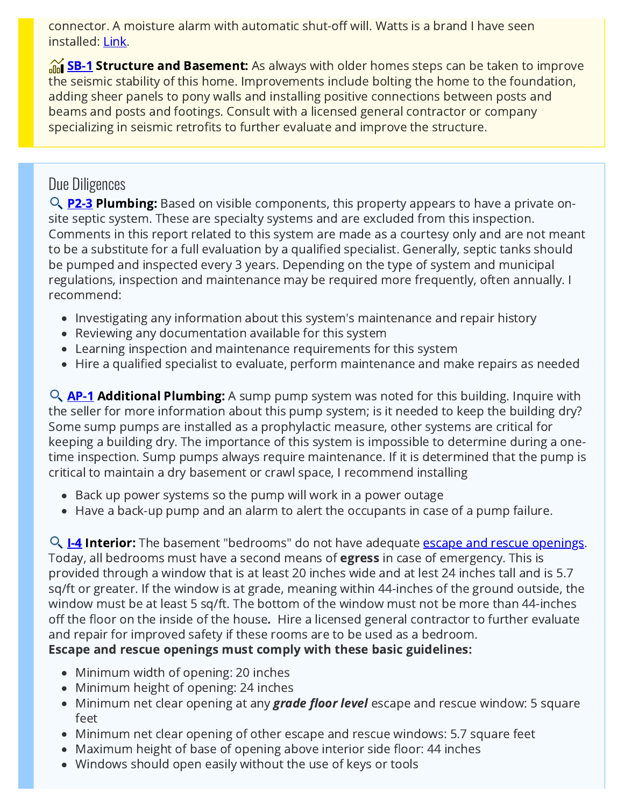connector. A moisture alarm with automatic shut-off will. Watts is a brand I have seen installed: [Link](https://www.watts.com/our-story/brands/intelliflow).

 $\frac{1}{\ln 2}$  Structure and Basement: As always with older homes steps can be taken to improve the seismic stability of this home. Improvements include bolting the home to the foundation, adding sheer panels to pony walls and installing positive connections between posts and beams and posts and footings. Consult with a licensed general contractor or company specializing in seismic retrofits to further evaluate and improve the structure.

## Due Diligences

Q **[P2-3](#page-32-0) Plumbing:** Based on visible components, this property appears to have a private onsite septic system. These are specialty systems and are excluded from this inspection. Comments in this report related to this system are made as a courtesy only and are not meant to be a substitute for a full evaluation by a qualified specialist. Generally, septic tanks should be pumped and inspected every 3 years. Depending on the type of system and municipal regulations, inspection and maintenance may be required more frequently, often annually. I recommend:

- Investigating any information about this system's maintenance and repair history
- Reviewing any documentation available for this system
- Learning inspection and maintenance requirements for this system
- Hire a qualified specialist to evaluate, perform maintenance and make repairs as needed

 $\mathsf{Q}_{\mathsf{A}}$  Additional Plumbing: A sump pump system was noted for this building. Inquire with the seller for more information about this pump system; is it needed to keep the building dry? Some sump pumps are installed as a prophylactic measure, other systems are critical for keeping a building dry. The importance of this system is impossible to determine during a onetime inspection. Sump pumps always require maintenance. If it is determined that the pump is critical to maintain a dry basement or crawl space, I recommend installing

- Back up power systems so the pump will work in a power outage
- Have a back-up pump and an alarm to alert the occupants in case of a pump failure.

Q 1-4 Interior: The basement "bedrooms" do not have adequate [escape and rescue openings.](http://www.buellinspections.com/window-escape-rescue-from-bedrooms/) Today, all bedrooms must have a second means of **egress** in case of emergency. This is provided through a window that is at least 20 inches wide and at lest 24 inches tall and is 5.7 sq/ft or greater. If the window is at grade, meaning within 44-inches of the ground outside, the window must be at least 5 sq/ft. The bottom of the window must not be more than 44-inches off the floor on the inside of the house. Hire a licensed general contractor to further evaluate and repair for improved safety if these rooms are to be used as a bedroom.

### Escape and rescue openings must comply with these basic guidelines:

- Minimum width of opening: 20 inches
- Minimum height of opening: 24 inches
- Minimum net clear opening at any **grade floor level** escape and rescue window: 5 square feet
- Minimum net clear opening of other escape and rescue windows: 5.7 square feet
- Maximum height of base of opening above interior side floor: 44 inches
- Windows should open easily without the use of keys or tools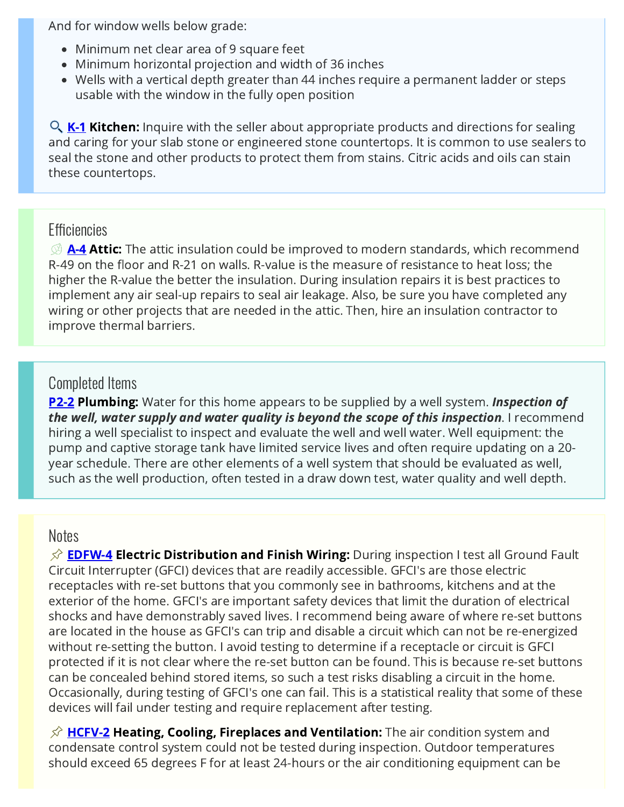And for window wells below grade:

- Minimum net clear area of 9 square feet
- Minimum horizontal projection and width of 36 inches
- Wells with a vertical depth greater than 44 inches require a permanent ladder or steps usable with the window in the fully open position

 $\mathsf{Q}_{k-1}$  Kitchen: Inquire with the seller about appropriate products and directions for sealing and caring for your slab stone or engineered stone countertops. It is common to use sealers to seal the stone and other products to protect them from stains. Citric acids and oils can stain these countertops.

### **Efficiencies**

 $\mathcal{D}$  [A-4](#page-42-0) Attic: The attic insulation could be improved to modern standards, which recommend R-49 on the floor and R-21 on walls. R-value is the measure of resistance to heat loss; the higher the R-value the better the insulation. During insulation repairs it is best practices to implement any air seal-up repairs to seal air leakage. Also, be sure you have completed any wiring or other projects that are needed in the attic. Then, hire an insulation contractor to improve thermal barriers.

### Completed Items

**[P2-2](#page-31-0) Plumbing:** Water for this home appears to be supplied by a well system. **Inspection of** the well, water supply and water quality is beyond the scope of this inspection. I recommend hiring a well specialist to inspect and evaluate the well and well water. Well equipment: the pump and captive storage tank have limited service lives and often require updating on a 20 year schedule. There are other elements of a well system that should be evaluated as well, such as the well production, often tested in a draw down test, water quality and well depth.

#### Notes

 $\hat{\mathcal{S}}$  [EDFW-4](#page-26-0) Electric Distribution and Finish Wiring: During inspection I test all Ground Fault Circuit Interrupter (GFCI) devices that are readily accessible. GFCI's are those electric receptacles with re-set buttons that you commonly see in bathrooms, kitchens and at the exterior of the home. GFCI's are important safety devices that limit the duration of electrical shocks and have demonstrably saved lives. I recommend being aware of where re-set buttons are located in the house as GFCI's can trip and disable a circuit which can not be re-energized without re-setting the button. I avoid testing to determine if a receptacle or circuit is GFCI protected if it is not clear where the re-set button can be found. This is because re-set buttons can be concealed behind stored items, so such a test risks disabling a circuit in the home. Occasionally, during testing of GFCI's one can fail. This is a statistical reality that some of these devices will fail under testing and require replacement after testing.

 $\hat{\varphi}$  [HCFV-2](#page-29-0) Heating, Cooling, Fireplaces and Ventilation: The air condition system and condensate control system could not be tested during inspection. Outdoor temperatures should exceed 65 degrees F for at least 24-hours or the air conditioning equipment can be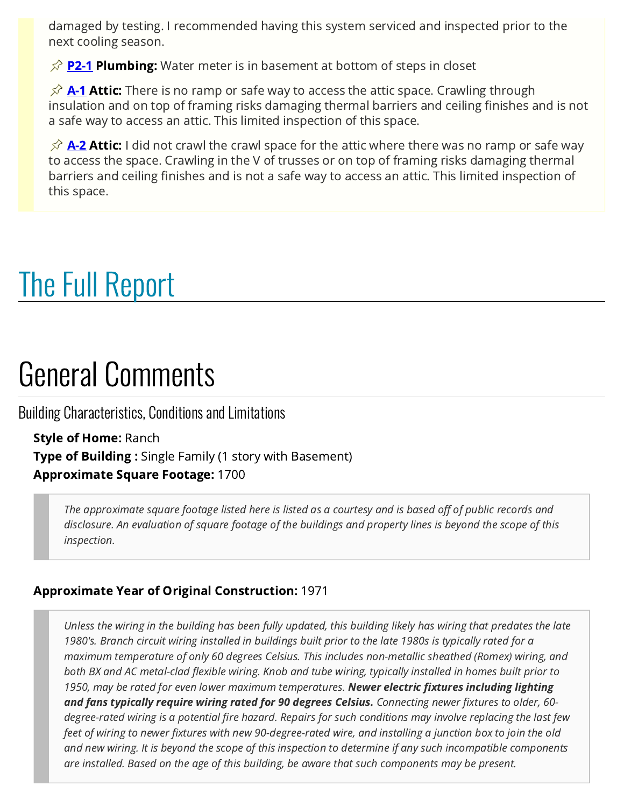damaged by testing. I recommended having this system serviced and inspected prior to the next cooling season.

 $\hat{\varphi}$  [P2-1](#page-31-1) Plumbing: Water meter is in basement at bottom of steps in closet

 $\hat{\varphi}$  [A-1](#page-42-1) Attic: There is no ramp or safe way to access the attic space. Crawling through insulation and on top of framing risks damaging thermal barriers and ceiling finishes and is not a safe way to access an attic. This limited inspection of this space.

 $\hat{\varphi}$  [A-2](#page-42-2) Attic: I did not crawl the crawl space for the attic where there was no ramp or safe way to access the space. Crawling in the V of trusses or on top of framing risks damaging thermal barriers and ceiling finishes and is not a safe way to access an attic. This limited inspection of this space.

# <span id="page-13-0"></span>The Full Report

## General Comments

Building Characteristics, Conditions and Limitations

Style of Home: Ranch **Type of Building:** Single Family (1 story with Basement) Approximate Square Footage: 1700

> The approximate square footage listed here is listed as a courtesy and is based off of public records and disclosure. An evaluation of square footage of the buildings and property lines is beyond the scope of this inspection.

### Approximate Year of Original Construction: 1971

Unless the wiring in the building has been fully updated, this building likely has wiring that predates the late 1980's. Branch circuit wiring installed in buildings built prior to the late 1980s is typically rated for a maximum temperature of only 60 degrees Celsius. This includes non-metallic sheathed (Romex) wiring, and both BX and AC metal-clad flexible wiring. Knob and tube wiring, typically installed in homes built prior to 1950, may be rated for even lower maximum temperatures. Newer electric fixtures including lighting and fans typically require wiring rated for 90 degrees Celsius. Connecting newer fixtures to older, 60degree-rated wiring is a potential fire hazard. Repairs for such conditions may involve replacing the last few feet of wiring to newer fixtures with new 90-degree-rated wire, and installing a junction box to join the old and new wiring. It is beyond the scope of this inspection to determine if any such incompatible components are installed. Based on the age of this building, be aware that such components may be present.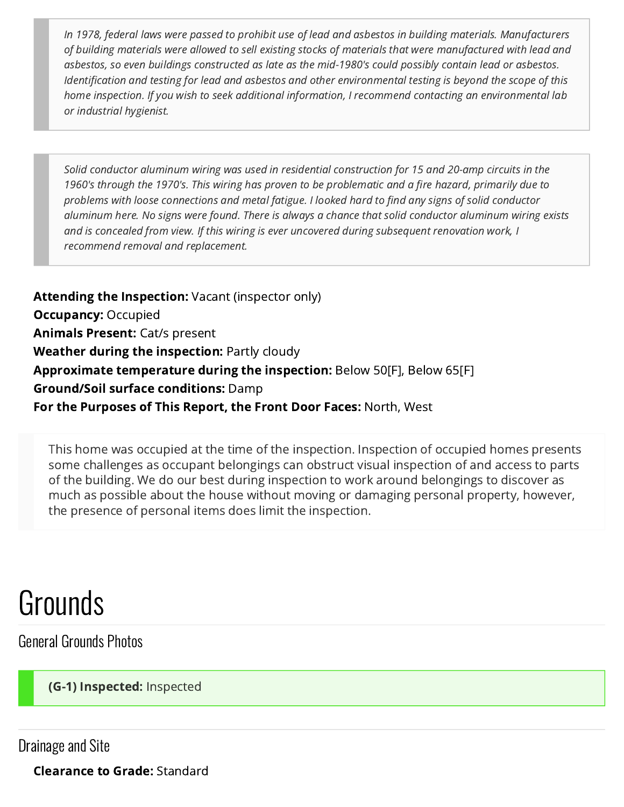In 1978, federal laws were passed to prohibit use of lead and asbestos in building materials. Manufacturers of building materials were allowed to sell existing stocks of materials that were manufactured with lead and asbestos, so even buildings constructed as late as the mid-1980's could possibly contain lead or asbestos. Identification and testing for lead and asbestos and other environmental testing is beyond the scope of this home inspection. If you wish to seek additional information, I recommend contacting an environmental lab or industrial hygienist.

Solid conductor aluminum wiring was used in residential construction for 15 and 20-amp circuits in the 1960's through the 1970's. This wiring has proven to be problematic and a fire hazard, primarily due to problems with loose connections and metal fatigue. I looked hard to find any signs of solid conductor aluminum here. No signs were found. There is always a chance that solid conductor aluminum wiring exists and is concealed from view. If this wiring is ever uncovered during subsequent renovation work, I recommend removal and replacement.

Attending the Inspection: Vacant (inspector only) **Occupancy: Occupied** Animals Present: Cat/s present Weather during the inspection: Partly cloudy Approximate temperature during the inspection: Below 50[F], Below 65[F] Ground/Soil surface conditions: Damp For the Purposes of This Report, the Front Door Faces: North, West

This home was occupied at the time of the inspection. Inspection of occupied homes presents some challenges as occupant belongings can obstruct visual inspection of and access to parts of the building. We do our best during inspection to work around belongings to discover as much as possible about the house without moving or damaging personal property, however, the presence of personal items does limit the inspection.

## Grounds

General Grounds Photos

<span id="page-14-0"></span>**(G-1) Inspected:** Inspected

Drainage and Site

Clearance to Grade: Standard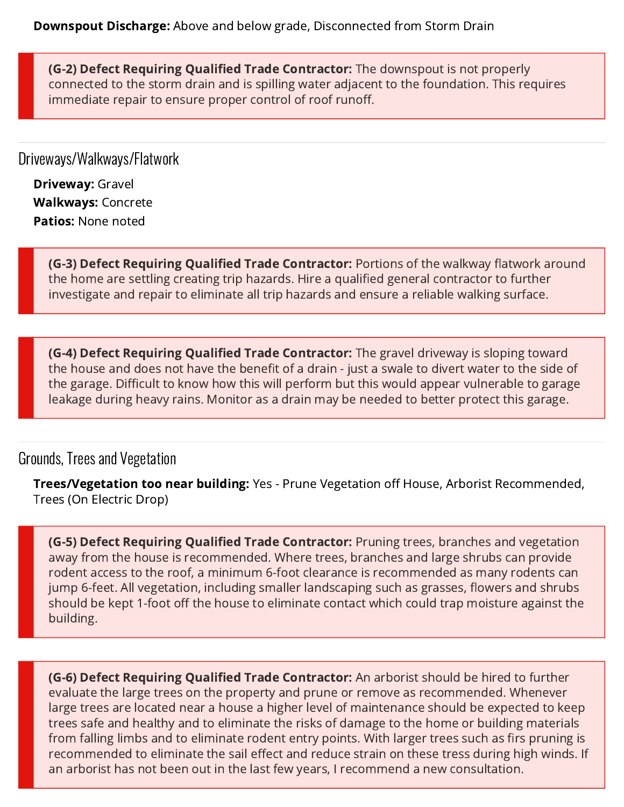<span id="page-15-0"></span>**(G-2) Defect Requiring Qualified Trade Contractor:** The downspout is not properly connected to the storm drain and is spilling water adjacent to the foundation. This requires immediate repair to ensure proper control of roof runoff.

Driveways/Walkways/Flatwork

Driveway: Gravel Walkways: Concrete Patios: None noted

> <span id="page-15-1"></span>**(G-3) Defect Requiring Qualified Trade Contractor:** Portions of the walkway flatwork around the home are settling creating trip hazards. Hire a qualified general contractor to further investigate and repair to eliminate all trip hazards and ensure a reliable walking surface.

<span id="page-15-2"></span>**(G-4) Defect Requiring Qualified Trade Contractor:** The gravel driveway is sloping toward the house and does not have the benefit of a drain - just a swale to divert water to the side of the garage. Difficult to know how this will perform but this would appear vulnerable to garage leakage during heavy rains. Monitor as a drain may be needed to better protect this garage.

### Grounds, Trees and Vegetation

**Trees/Vegetation too near building:** Yes - Prune Vegetation off House, Arborist Recommended, Trees (On Electric Drop)

<span id="page-15-3"></span>**(G-5) Defect Requiring Qualified Trade Contractor:** Pruning trees, branches and vegetation away from the house is recommended. Where trees, branches and large shrubs can provide rodent access to the roof, a minimum 6-foot clearance is recommended as many rodents can jump 6-feet. All vegetation, including smaller landscaping such as grasses, flowers and shrubs should be kept 1-foot off the house to eliminate contact which could trap moisture against the building.

<span id="page-15-4"></span>**(G-6) Defect Requiring Qualified Trade Contractor:** An arborist should be hired to further evaluate the large trees on the property and prune or remove as recommended. Whenever large trees are located near a house a higher level of maintenance should be expected to keep trees safe and healthy and to eliminate the risks of damage to the home or building materials from falling limbs and to eliminate rodent entry points. With larger trees such as firs pruning is recommended to eliminate the sail effect and reduce strain on these tress during high winds. If an arborist has not been out in the last few years, I recommend a new consultation.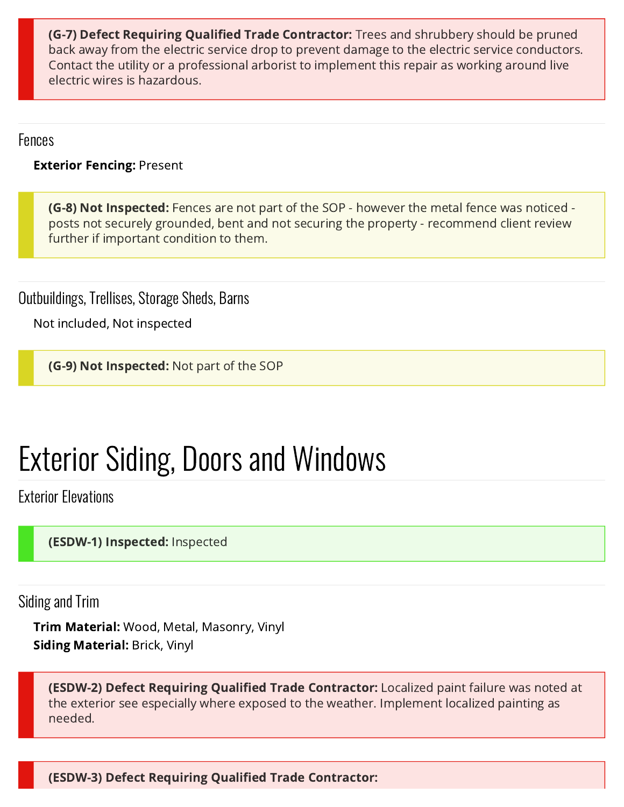<span id="page-16-3"></span>(G-7) Defect Requiring Qualified Trade Contractor: Trees and shrubbery should be pruned back away from the electric service drop to prevent damage to the electric service conductors. Contact the utility or a professional arborist to implement this repair as working around live electric wires is hazardous.

Fences

**Exterior Fencing: Present** 

<span id="page-16-1"></span>**(G-8) Not Inspected:** Fences are not part of the SOP - however the metal fence was noticed posts not securely grounded, bent and not securing the property - recommend client review further if important condition to them.

Outbuildings, Trellises, Storage Sheds, Barns

Not included, Not inspected

<span id="page-16-2"></span>**(G-9) Not Inspected:** Not part of the SOP

# Exterior Siding, Doors and Windows

Exterior Elevations

<span id="page-16-0"></span>(ESDW-1) Inspected: Inspected

Siding and Trim

Trim Material: Wood, Metal, Masonry, Vinyl Siding Material: Brick, Vinyl

<span id="page-16-4"></span>(ESDW-2) Defect Requiring Qualified Trade Contractor: Localized paint failure was noted at the exterior see especially where exposed to the weather. Implement localized painting as needed.

<span id="page-16-5"></span>(ESDW-3) Defect Requiring Qualified Trade Contractor: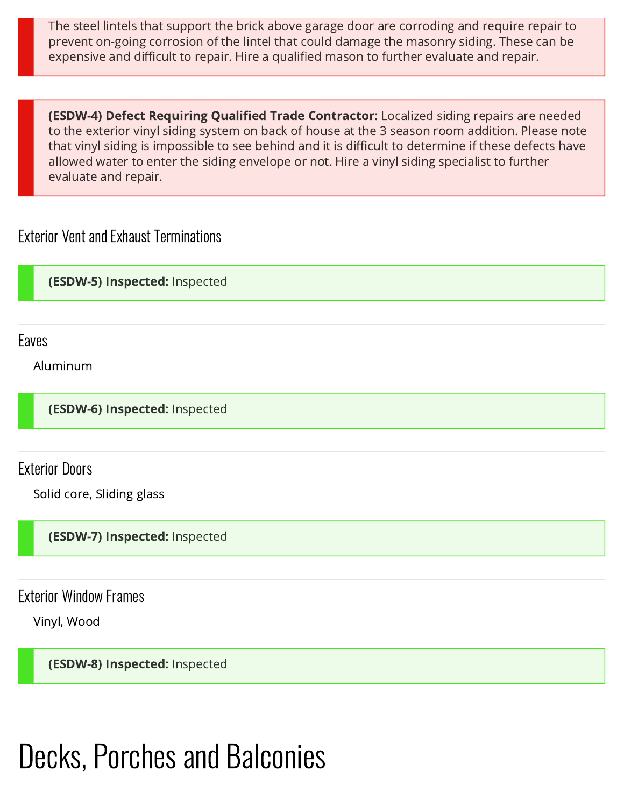The steel lintels that support the brick above garage door are corroding and require repair to prevent on-going corrosion of the lintel that could damage the masonry siding. These can be expensive and difficult to repair. Hire a qualified mason to further evaluate and repair.

<span id="page-17-4"></span>(ESDW-4) Defect Requiring Qualified Trade Contractor: Localized siding repairs are needed to the exterior vinyl siding system on back of house at the 3 season room addition. Please note that vinyl siding is impossible to see behind and it is difficult to determine if these defects have allowed water to enter the siding envelope or not. Hire a vinyl siding specialist to further evaluate and repair.

## Exterior Vent and Exhaust Terminations

<span id="page-17-0"></span>(ESDW-5) Inspected: Inspected

Eaves

Aluminum

<span id="page-17-1"></span>(ESDW-6) Inspected: Inspected

Exterior Doors

Solid core, Sliding glass

<span id="page-17-2"></span>(ESDW-7) Inspected: Inspected

Exterior Window Frames

Vinyl, Wood

<span id="page-17-3"></span>(ESDW-8) Inspected: Inspected

# Decks, Porches and Balconies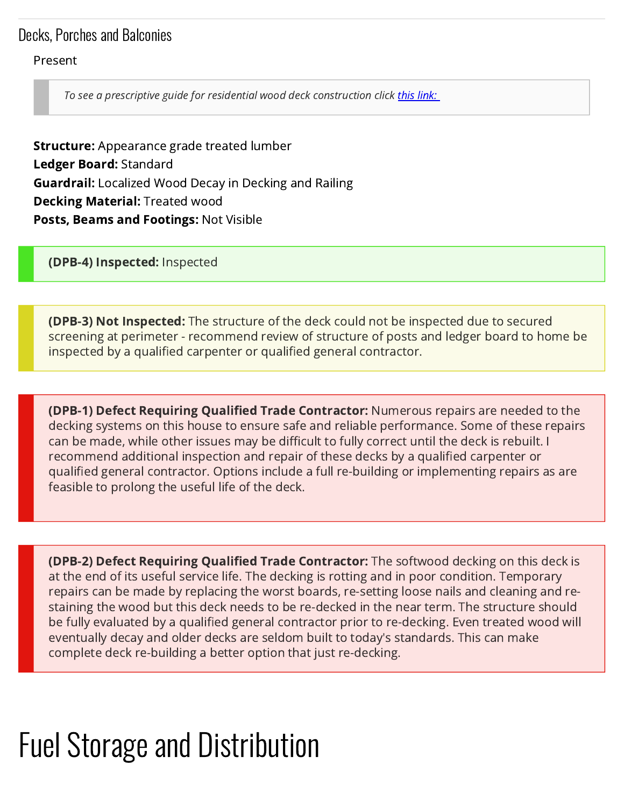## Decks, Porches and Balconies

#### Present

To see a prescriptive guide for residential wood deck construction click [this link:](https://awc.org/pdf/codes-standards/publications/dca/AWC-DCA62015-DeckGuide-1804.pdf)

**Structure:** Appearance grade treated lumber Ledger Board: Standard **Guardrail:** Localized Wood Decay in Decking and Railing Decking Material: Treated wood Posts, Beams and Footings: Not Visible

<span id="page-18-0"></span>(DPB-4) Inspected: Inspected

<span id="page-18-1"></span>**(DPB-3) Not Inspected:** The structure of the deck could not be inspected due to secured screening at perimeter - recommend review of structure of posts and ledger board to home be inspected by a qualified carpenter or qualified general contractor.

<span id="page-18-2"></span>**(DPB-1) Defect Requiring Qualified Trade Contractor:** Numerous repairs are needed to the decking systems on this house to ensure safe and reliable performance. Some of these repairs can be made, while other issues may be difficult to fully correct until the deck is rebuilt. I recommend additional inspection and repair of these decks by a qualified carpenter or qualified general contractor. Options include a full re-building or implementing repairs as are feasible to prolong the useful life of the deck.

<span id="page-18-3"></span>**(DPB-2) Defect Requiring Qualified Trade Contractor:** The softwood decking on this deck is at the end of its useful service life. The decking is rotting and in poor condition. Temporary repairs can be made by replacing the worst boards, re-setting loose nails and cleaning and restaining the wood but this deck needs to be re-decked in the near term. The structure should be fully evaluated by a qualified general contractor prior to re-decking. Even treated wood will eventually decay and older decks are seldom built to today's standards. This can make complete deck re-building a better option that just re-decking.

## Fuel Storage and Distribution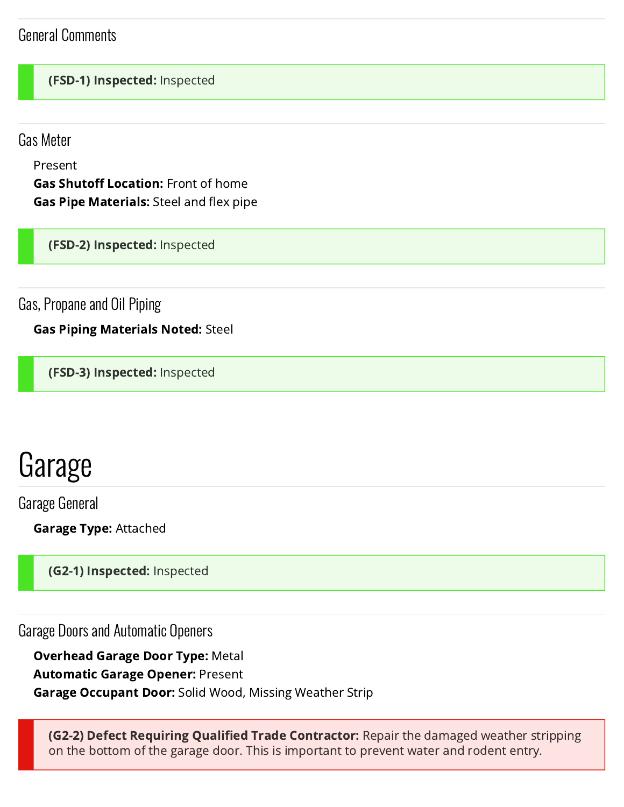## General Comments

#### <span id="page-19-0"></span>(FSD-1) Inspected: Inspected

Gas Meter

Present

Gas Shutoff Location: Front of home Gas Pipe Materials: Steel and flex pipe

<span id="page-19-1"></span>(FSD-2) Inspected: Inspected

Gas, Propane and Oil Piping

Gas Piping Materials Noted: Steel

<span id="page-19-2"></span>(FSD-3) Inspected: Inspected

## Garage

Garage General

Garage Type: Attached

<span id="page-19-3"></span>(**G2-1) Inspected:** Inspected

Garage Doors and Automatic Openers

Overhead Garage Door Type: Metal Automatic Garage Opener: Present **Garage Occupant Door:** Solid Wood, Missing Weather Strip

<span id="page-19-4"></span>**(G2-2) Defect Requiring Qualified Trade Contractor:** Repair the damaged weather stripping on the bottom of the garage door. This is important to prevent water and rodent entry.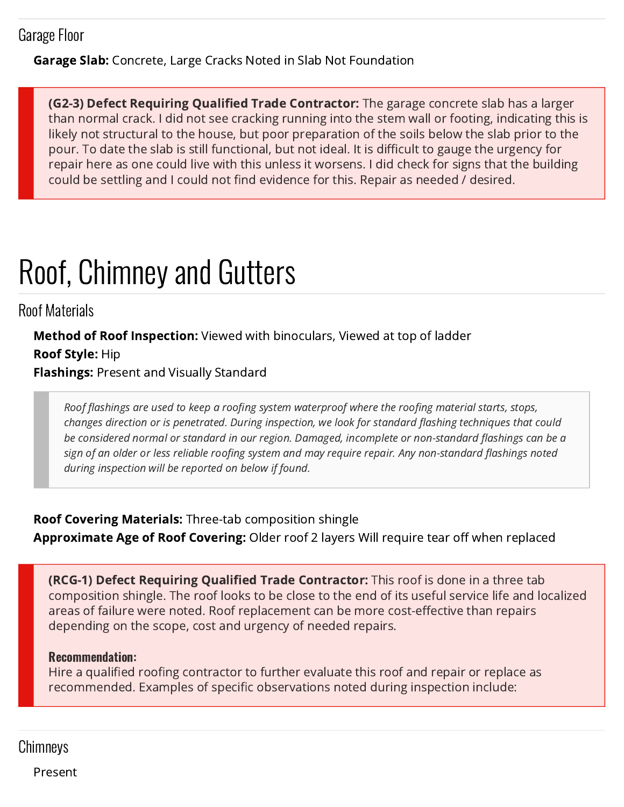## Garage Floor

**Garage Slab:** Concrete, Large Cracks Noted in Slab Not Foundation

<span id="page-20-0"></span>**(G2-3) Defect Requiring Qualified Trade Contractor:** The garage concrete slab has a larger than normal crack. I did not see cracking running into the stem wall or footing, indicating this is likely not structural to the house, but poor preparation of the soils below the slab prior to the pour. To date the slab is still functional, but not ideal. It is difficult to gauge the urgency for repair here as one could live with this unless it worsens. I did check for signs that the building could be settling and I could not find evidence for this. Repair as needed / desired.

# Roof, Chimney and Gutters

Roof Materials

Method of Roof Inspection: Viewed with binoculars, Viewed at top of ladder Roof Style: Hip Flashings: Present and Visually Standard

Roof flashings are used to keep a roofing system waterproof where the roofing material starts, stops, changes direction or is penetrated. During inspection, we look for standard flashing techniques that could be considered normal or standard in our region. Damaged, incomplete or non-standard flashings can be a sign of an older or less reliable roofing system and may require repair. Any non-standard flashings noted during inspection will be reported on below if found.

Roof Covering Materials: Three-tab composition shingle Approximate Age of Roof Covering: Older roof 2 layers Will require tear off when replaced

<span id="page-20-1"></span>**(RCG-1) Defect Requiring Qualified Trade Contractor:** This roof is done in a three tab composition shingle. The roof looks to be close to the end of its useful service life and localized areas of failure were noted. Roof replacement can be more cost-effective than repairs depending on the scope, cost and urgency of needed repairs.

#### Recommendation:

Hire a qualified roofing contractor to further evaluate this roof and repair or replace as recommended. Examples of specific observations noted during inspection include:

## **Chimneys**

Present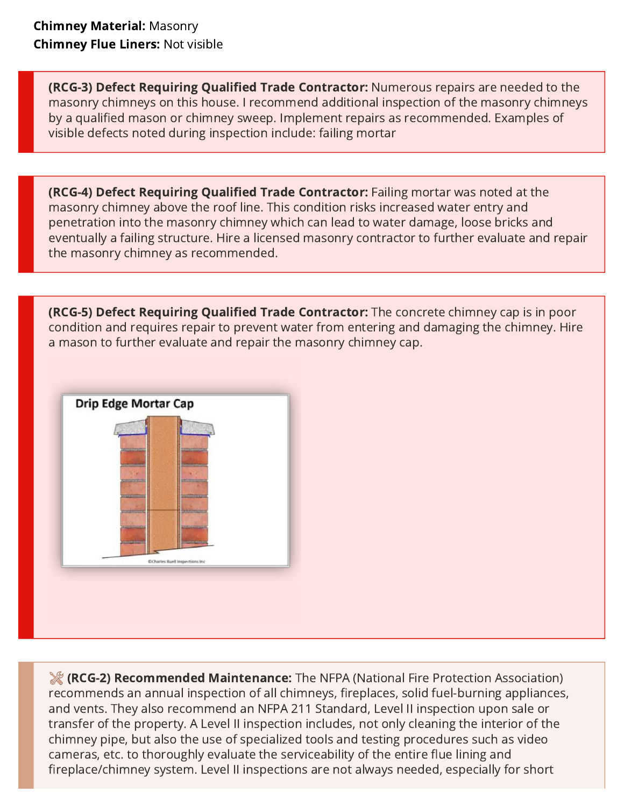<span id="page-21-0"></span>(RCG-3) Defect Requiring Qualified Trade Contractor: Numerous repairs are needed to the masonry chimneys on this house. I recommend additional inspection of the masonry chimneys by a qualified mason or chimney sweep. Implement repairs as recommended. Examples of visible defects noted during inspection include: failing mortar

<span id="page-21-1"></span>(RCG-4) Defect Requiring Qualified Trade Contractor: Failing mortar was noted at the masonry chimney above the roof line. This condition risks increased water entry and penetration into the masonry chimney which can lead to water damage, loose bricks and eventually a failing structure. Hire a licensed masonry contractor to further evaluate and repair the masonry chimney as recommended.

<span id="page-21-2"></span>**(RCG-5) Defect Requiring Qualified Trade Contractor:** The concrete chimney cap is in poor condition and requires repair to prevent water from entering and damaging the chimney. Hire a mason to further evaluate and repair the masonry chimney cap.



<span id="page-21-3"></span>(RCG-2) Recommended Maintenance: The NFPA (National Fire Protection Association) recommends an annual inspection of all chimneys, fireplaces, solid fuel-burning appliances, and vents. They also recommend an NFPA 211 Standard, Level II inspection upon sale or transfer of the property. A Level II inspection includes, not only cleaning the interior of the chimney pipe, but also the use of specialized tools and testing procedures such as video cameras, etc. to thoroughly evaluate the serviceability of the entire flue lining and fireplace/chimney system. Level II inspections are not always needed, especially for short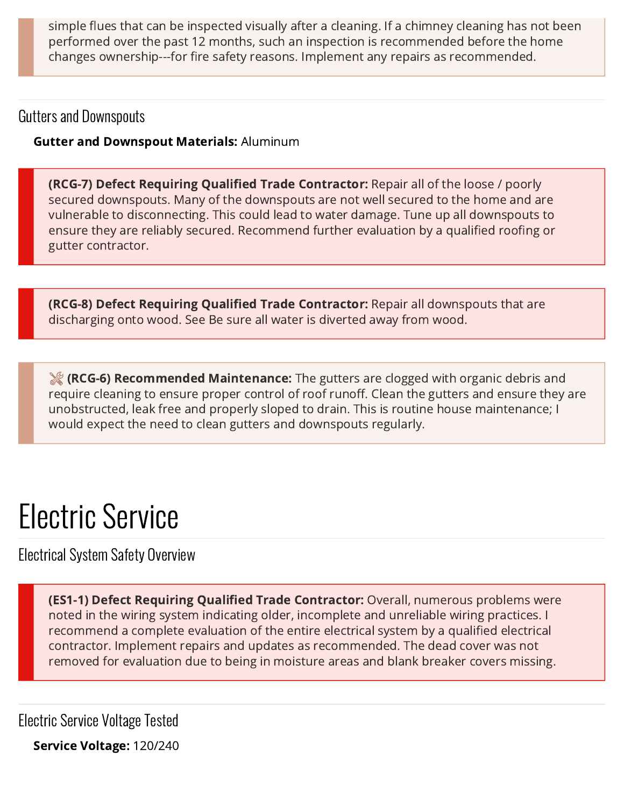simple flues that can be inspected visually after a cleaning. If a chimney cleaning has not been performed over the past 12 months, such an inspection is recommended before the home changes ownership---for fire safety reasons. Implement any repairs as recommended.

## Gutters and Downspouts

### Gutter and Downspout Materials: Aluminum

<span id="page-22-0"></span>**(RCG-7) Defect Requiring Qualified Trade Contractor:** Repair all of the loose / poorly secured downspouts. Many of the downspouts are not well secured to the home and are vulnerable to disconnecting. This could lead to water damage. Tune up all downspouts to ensure they are reliably secured. Recommend further evaluation by a qualified roofing or gutter contractor.

<span id="page-22-1"></span>**(RCG-8) Defect Requiring Qualified Trade Contractor:** Repair all downspouts that are discharging onto wood. See Be sure all water is diverted away from wood.

<span id="page-22-3"></span>**(RCG-6) Recommended Maintenance:** The gutters are clogged with organic debris and require cleaning to ensure proper control of roof runoff. Clean the gutters and ensure they are unobstructed, leak free and properly sloped to drain. This is routine house maintenance; I would expect the need to clean gutters and downspouts regularly.

# Electric Service

Electrical System Safety Overview

<span id="page-22-2"></span>(ES1-1) Defect Requiring Qualified Trade Contractor: Overall, numerous problems were noted in the wiring system indicating older, incomplete and unreliable wiring practices. I recommend a complete evaluation of the entire electrical system by a qualified electrical contractor. Implement repairs and updates as recommended. The dead cover was not removed for evaluation due to being in moisture areas and blank breaker covers missing.

Electric Service Voltage Tested

Service Voltage: 120/240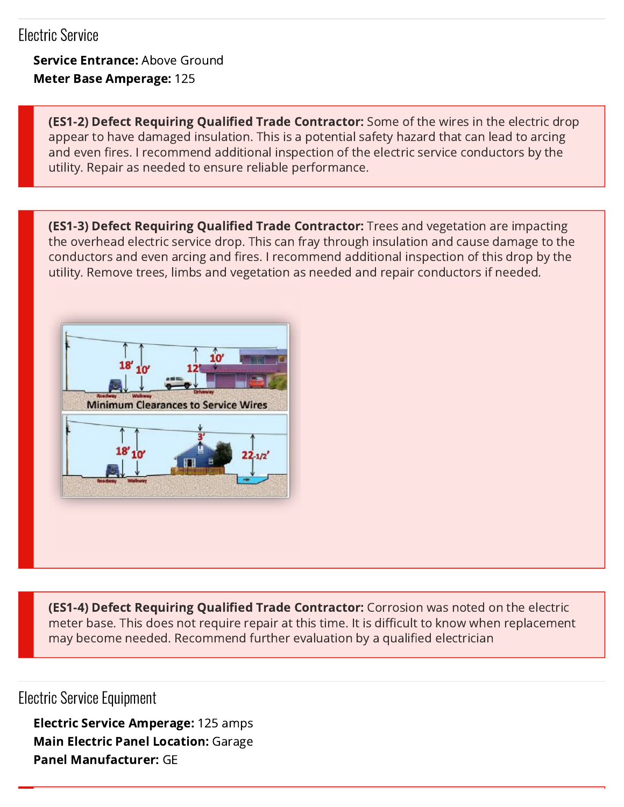## Electric Service

Service Entrance: Above Ground Meter Base Amperage: 125

<span id="page-23-0"></span>**(ES1-2) Defect Requiring Qualified Trade Contractor:** Some of the wires in the electric drop appear to have damaged insulation. This is a potential safety hazard that can lead to arcing and even fires. I recommend additional inspection of the electric service conductors by the utility. Repair as needed to ensure reliable performance.

<span id="page-23-1"></span>(ES1-3) Defect Requiring Qualified Trade Contractor: Trees and vegetation are impacting the overhead electric service drop. This can fray through insulation and cause damage to the conductors and even arcing and fires. I recommend additional inspection of this drop by the utility. Remove trees, limbs and vegetation as needed and repair conductors if needed.



<span id="page-23-2"></span>(ES1-4) Defect Requiring Qualified Trade Contractor: Corrosion was noted on the electric meter base. This does not require repair at this time. It is difficult to know when replacement may become needed. Recommend further evaluation by a qualified electrician

Electric Service Equipment

<span id="page-23-3"></span>Electric Service Amperage: 125 amps Main Electric Panel Location: Garage Panel Manufacturer: GE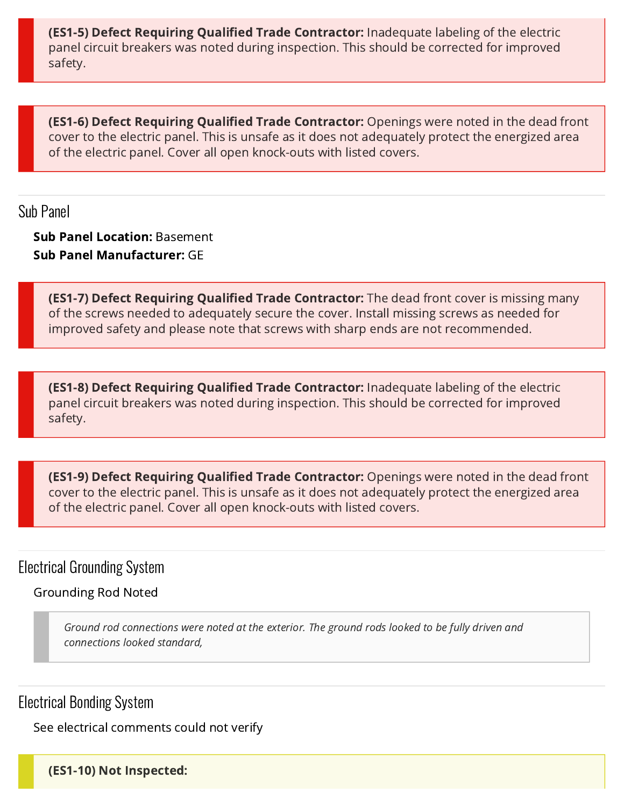**(ES1-5) Defect Requiring Qualified Trade Contractor:** Inadequate labeling of the electric panel circuit breakers was noted during inspection. This should be corrected for improved safety.

<span id="page-24-1"></span>**(ES1-6) Defect Requiring Qualified Trade Contractor:** Openings were noted in the dead front cover to the electric panel. This is unsafe as it does not adequately protect the energized area of the electric panel. Cover all open knock-outs with listed covers.

Sub Panel

Sub Panel Location: Basement Sub Panel Manufacturer: GE

<span id="page-24-2"></span>**(ES1-7) Defect Requiring Qualified Trade Contractor:** The dead front cover is missing many of the screws needed to adequately secure the cover. Install missing screws as needed for improved safety and please note that screws with sharp ends are not recommended.

<span id="page-24-3"></span>**(ES1-8) Defect Requiring Qualified Trade Contractor:** Inadequate labeling of the electric panel circuit breakers was noted during inspection. This should be corrected for improved safety.

<span id="page-24-4"></span>**(ES1-9) Defect Requiring Qualified Trade Contractor:** Openings were noted in the dead front cover to the electric panel. This is unsafe as it does not adequately protect the energized area of the electric panel. Cover all open knock-outs with listed covers.

Electrical Grounding System

Grounding Rod Noted

Ground rod connections were noted at the exterior. The ground rods looked to be fully driven and connections looked standard,

Electrical Bonding System

See electrical comments could not verify

<span id="page-24-0"></span>(ES1-10) Not Inspected: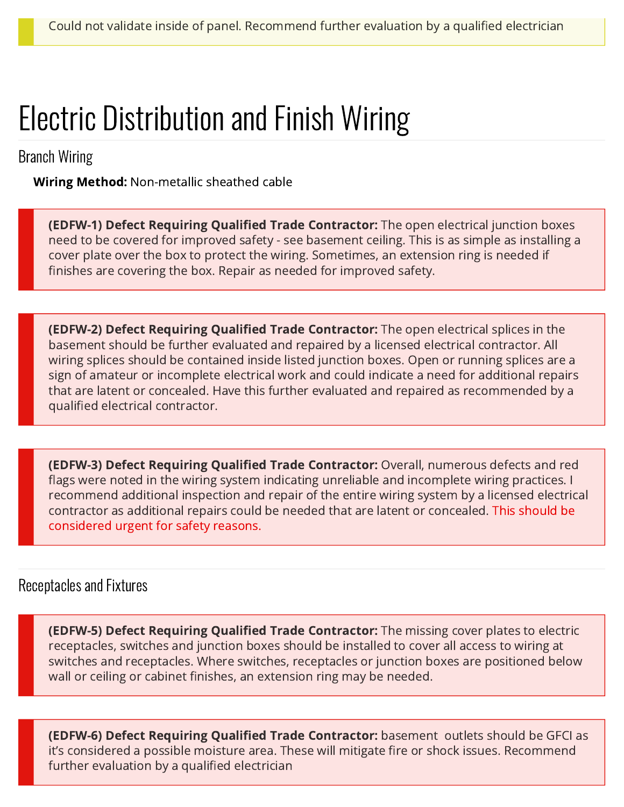## Electric Distribution and Finish Wiring

Branch Wiring

Wiring Method: Non-metallic sheathed cable

<span id="page-25-0"></span>**(EDFW-1) Defect Requiring Qualified Trade Contractor:** The open electrical junction boxes need to be covered for improved safety - see basement ceiling. This is as simple as installing a cover plate over the box to protect the wiring. Sometimes, an extension ring is needed if finishes are covering the box. Repair as needed for improved safety.

<span id="page-25-1"></span>**(EDFW-2) Defect Requiring Qualified Trade Contractor:** The open electrical splices in the basement should be further evaluated and repaired by a licensed electrical contractor. All wiring splices should be contained inside listed junction boxes. Open or running splices are a sign of amateur or incomplete electrical work and could indicate a need for additional repairs that are latent or concealed. Have this further evaluated and repaired as recommended by a qualified electrical contractor.

<span id="page-25-2"></span>(EDFW-3) Defect Requiring Qualified Trade Contractor: Overall, numerous defects and red flags were noted in the wiring system indicating unreliable and incomplete wiring practices. I recommend additional inspection and repair of the entire wiring system by a licensed electrical contractor as additional repairs could be needed that are latent or concealed. This should be considered urgent for safety reasons.

## Receptacles and Fixtures

<span id="page-25-3"></span>**(EDFW-5) Defect Requiring Qualified Trade Contractor:** The missing cover plates to electric receptacles, switches and junction boxes should be installed to cover all access to wiring at switches and receptacles. Where switches, receptacles or junction boxes are positioned below wall or ceiling or cabinet finishes, an extension ring may be needed.

<span id="page-25-4"></span>(EDFW-6) Defect Requiring Qualified Trade Contractor: basement outlets should be GFCI as it's considered a possible moisture area. These will mitigate fire or shock issues. Recommend further evaluation by a qualified electrician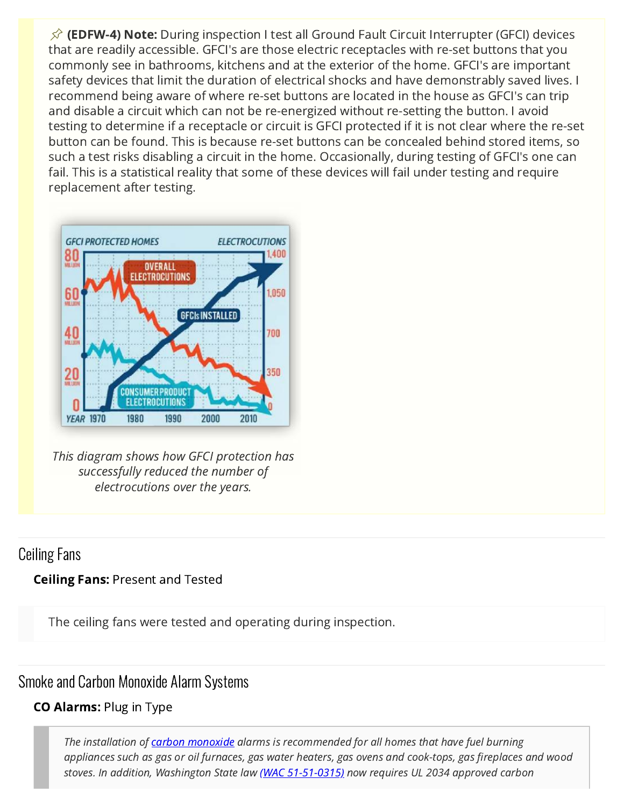<span id="page-26-0"></span> $\hat{\varphi}$  (EDFW-4) Note: During inspection I test all Ground Fault Circuit Interrupter (GFCI) devices that are readily accessible. GFCI's are those electric receptacles with re-set buttons that you commonly see in bathrooms, kitchens and at the exterior of the home. GFCI's are important safety devices that limit the duration of electrical shocks and have demonstrably saved lives. I recommend being aware of where re-set buttons are located in the house as GFCI's can trip and disable a circuit which can not be re-energized without re-setting the button. I avoid testing to determine if a receptacle or circuit is GFCI protected if it is not clear where the re-set button can be found. This is because re-set buttons can be concealed behind stored items, so such a test risks disabling a circuit in the home. Occasionally, during testing of GFCI's one can fail. This is a statistical reality that some of these devices will fail under testing and require replacement after testing.



[This diagram shows how GFCI protection has](https://reports.getscribeware.com/yNe9aMTyyV6srGt7RzIB/2021/11/04/ad318/ESFI%20GFCI%20Prevent%20Electrocutions-700x500%20(3)%20(1)%20(1).png) successfully reduced the number of electrocutions over the years.

## Ceiling Fans

### Ceiling Fans: Present and Tested

The ceiling fans were tested and operating during inspection.

## Smoke and Carbon Monoxide Alarm Systems

## CO Alarms: Plug in Type

The installation of **carbon monoxide** alarms is recommended for all homes that have fuel burning appliances such as gas or oil furnaces, gas water heaters, gas ovens and cook-tops, gas fireplaces and wood stoves. In addition, Washington State law [\(WAC 51-51-0315\)](http://apps.leg.wa.gov/WAC/default.aspx?cite=51-51-0315) now requires UL 2034 approved carbon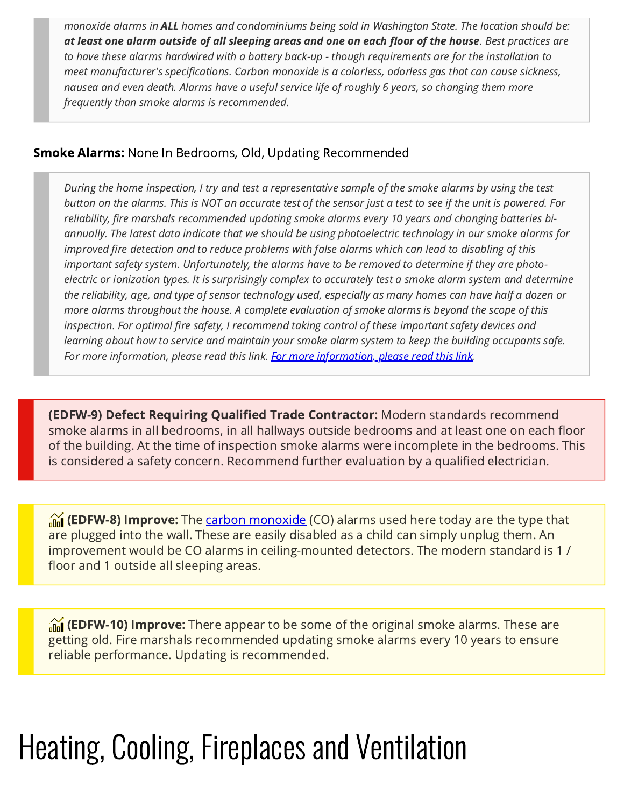monoxide alarms in ALL homes and condominiums being sold in Washington State. The location should be: at least one alarm outside of all sleeping areas and one on each floor of the house. Best practices are to have these alarms hardwired with a battery back-up - though requirements are for the installation to meet manufacturer's specifications. Carbon monoxide is a colorless, odorless gas that can cause sickness, nausea and even death. Alarms have a useful service life of roughly 6 years, so changing them more frequently than smoke alarms is recommended.

#### Smoke Alarms: None In Bedrooms, Old, Updating Recommended

During the home inspection, I try and test a representative sample of the smoke alarms by using the test button on the alarms. This is NOT an accurate test of the sensor just a test to see if the unit is powered. For reliability, fire marshals recommended updating smoke alarms every 10 years and changing batteries biannually. The latest data indicate that we should be using photoelectric technology in our smoke alarms for improved fire detection and to reduce problems with false alarms which can lead to disabling of this important safety system. Unfortunately, the alarms have to be removed to determine if they are photoelectric or ionization types. It is surprisingly complex to accurately test a smoke alarm system and determine the reliability, age, and type of sensor technology used, especially as many homes can have half a dozen or more alarms throughout the house. A complete evaluation of smoke alarms is beyond the scope of this inspection. For optimal fire safety, I recommend taking control of these important safety devices and learning about how to service and maintain your smoke alarm system to keep the building occupants safe. For more information, please read this link. [For more information, please read this link](http://www.ashireporter.org/HomeInspection/Articles/Smoke-Alarms/14747).

<span id="page-27-0"></span>(EDFW-9) Defect Requiring Qualified Trade Contractor: Modern standards recommend smoke alarms in all bedrooms, in all hallways outside bedrooms and at least one on each floor of the building. At the time of inspection smoke alarms were incomplete in the bedrooms. This is considered a safety concern. Recommend further evaluation by a qualified electrician.

<span id="page-27-1"></span>**(EDFW-8) Improve:** The <u>carbon monoxide</u> (CO) alarms used here today are the type that are plugged into the wall. These are easily disabled as a child can simply unplug them. An improvement would be CO alarms in ceiling-mounted detectors. The modern standard is 1 / floor and 1 outside all sleeping areas.

<span id="page-27-2"></span>**(EDFW-10) Improve:** There appear to be some of the original smoke alarms. These are getting old. Fire marshals recommended updating smoke alarms every 10 years to ensure reliable performance. Updating is recommended.

# Heating, Cooling, Fireplaces and Ventilation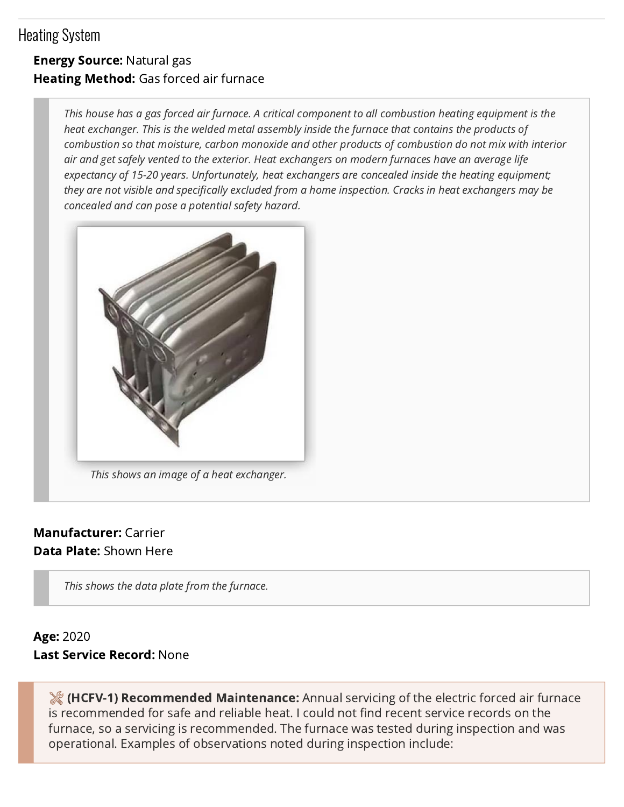## Heating System

## Energy Source: Natural gas Heating Method: Gas forced air furnace

This house has a gas forced air furnace. A critical component to all combustion heating equipment is the heat exchanger. This is the welded metal assembly inside the furnace that contains the products of combustion so that moisture, carbon monoxide and other products of combustion do not mix with interior air and get safely vented to the exterior. Heat exchangers on modern furnaces have an average life expectancy of 15-20 years. Unfortunately, heat exchangers are concealed inside the heating equipment; they are not visible and specifically excluded from a home inspection. Cracks in heat exchangers may be concealed and can pose a potential safety hazard.



### Manufacturer: Carrier Data Plate: Shown Here

This shows the data plate from the furnace.

## Age: 2020 Last Service Record: None

<span id="page-28-0"></span>**(HCFV-1) Recommended Maintenance:** Annual servicing of the electric forced air furnace is recommended for safe and reliable heat. I could not find recent service records on the furnace, so a servicing is recommended. The furnace was tested during inspection and was operational. Examples of observations noted during inspection include: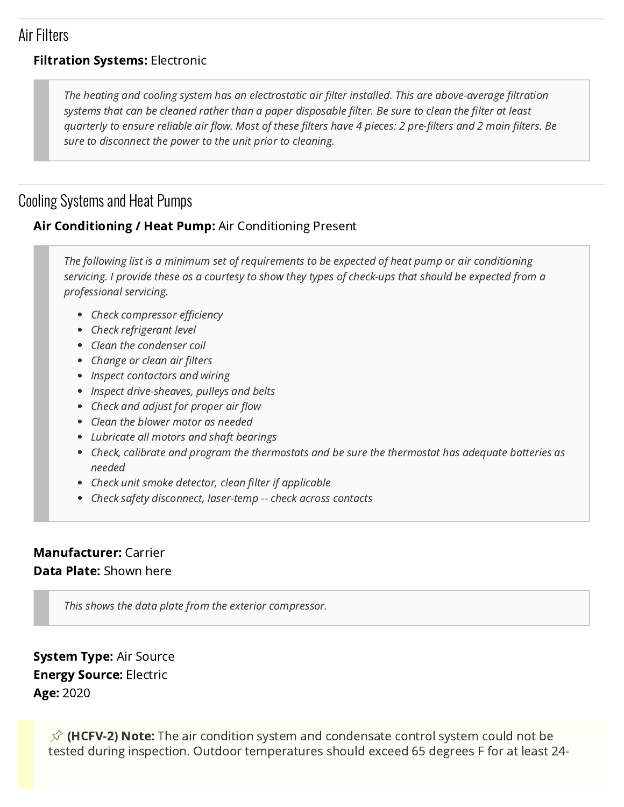## Air Filters

### **Filtration Systems: Electronic**

The heating and cooling system has an electrostatic air filter installed. This are above-average filtration systems that can be cleaned rather than a paper disposable filter. Be sure to clean the filter at least quarterly to ensure reliable air flow. Most of these filters have 4 pieces: 2 pre-filters and 2 main filters. Be sure to disconnect the power to the unit prior to cleaning.

## Cooling Systems and Heat Pumps

### Air Conditioning / Heat Pump: Air Conditioning Present

The following list is a minimum set of requirements to be expected of heat pump or air conditioning servicing. I provide these as a courtesy to show they types of check-ups that should be expected from a professional servicing.

- Check compressor efficiency
- Check refrigerant level
- Clean the condenser coil
- Change or clean air filters
- Inspect contactors and wiring
- Inspect drive-sheaves, pulleys and belts
- Check and adjust for proper air flow
- Clean the blower motor as needed
- Lubricate all motors and shaft bearings
- Check, calibrate and program the thermostats and be sure the thermostat has adequate batteries as needed
- Check unit smoke detector, clean filter if applicable
- Check safety disconnect, laser-temp -- check across contacts

### Manufacturer: Carrier Data Plate: Shown here

This shows the data plate from the exterior compressor.

System Type: Air Source Energy Source: Electric Age: 2020

> <span id="page-29-0"></span>**(HCFV-2) Note:** The air condition system and condensate control system could not be tested during inspection. Outdoor temperatures should exceed 65 degrees F for at least 24-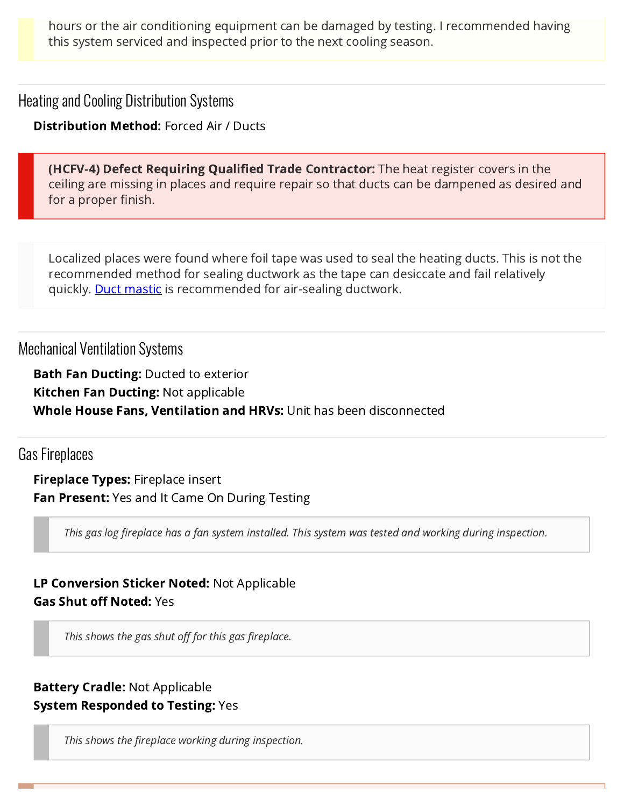hours or the air conditioning equipment can be damaged by testing. I recommended having this system serviced and inspected prior to the next cooling season.

Heating and Cooling Distribution Systems

Distribution Method: Forced Air / Ducts

<span id="page-30-0"></span>**(HCFV-4) Defect Requiring Qualified Trade Contractor:** The heat register covers in the ceiling are missing in places and require repair so that ducts can be dampened as desired and for a proper finish.

Localized places were found where foil tape was used to seal the heating ducts. This is not the recommended method for sealing ductwork as the tape can desiccate and fail relatively quickly. **Duct mastic** is recommended for air-sealing ductwork.

Mechanical Ventilation Systems

**Bath Fan Ducting: Ducted to exterior** Kitchen Fan Ducting: Not applicable Whole House Fans, Ventilation and HRVs: Unit has been disconnected

Gas Fireplaces

**Fireplace Types: Fireplace insert Fan Present:** Yes and It Came On During Testing

This gas log fireplace has a fan system installed. This system was tested and working during inspection.

LP Conversion Sticker Noted: Not Applicable Gas Shut off Noted: Yes

This shows the gas shut off for this gas fireplace.

## Battery Cradle: Not Applicable System Responded to Testing: Yes

<span id="page-30-1"></span>This shows the fireplace working during inspection.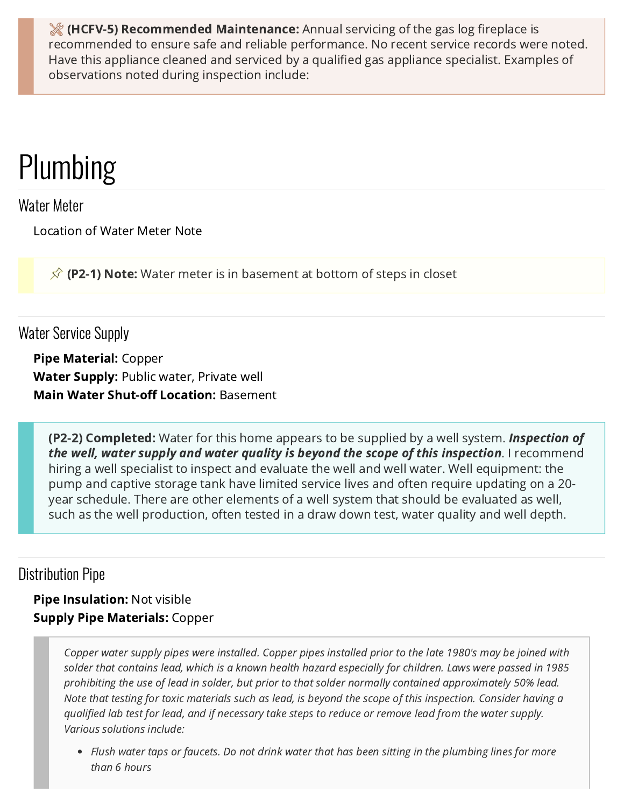**(HCFV-5) Recommended Maintenance:** Annual servicing of the gas log fireplace is recommended to ensure safe and reliable performance. No recent service records were noted. Have this appliance cleaned and serviced by a qualified gas appliance specialist. Examples of observations noted during inspection include:

## Plumbing

Water Meter

<span id="page-31-1"></span>Location of Water Meter Note

**(P2-1) Note:** Water meter is in basement at bottom of steps in closet

## Water Service Supply

Pipe Material: Copper Water Supply: Public water, Private well Main Water Shut-off Location: Basement

<span id="page-31-0"></span>**(P2-2) Completed:** Water for this home appears to be supplied by a well system. **Inspection of** the well, water supply and water quality is beyond the scope of this inspection. I recommend hiring a well specialist to inspect and evaluate the well and well water. Well equipment: the pump and captive storage tank have limited service lives and often require updating on a 20 year schedule. There are other elements of a well system that should be evaluated as well, such as the well production, often tested in a draw down test, water quality and well depth.

## Distribution Pipe

Pipe Insulation: Not visible Supply Pipe Materials: Copper

> Copper water supply pipes were installed. Copper pipes installed prior to the late 1980's may be joined with solder that contains lead, which is a known health hazard especially for children. Laws were passed in 1985 prohibiting the use of lead in solder, but prior to that solder normally contained approximately 50% lead. Note that testing for toxic materials such as lead, is beyond the scope of this inspection. Consider having a qualified lab test for lead, and if necessary take steps to reduce or remove lead from the water supply. Various solutions include:

• Flush water taps or faucets. Do not drink water that has been sitting in the plumbing lines for more than 6 hours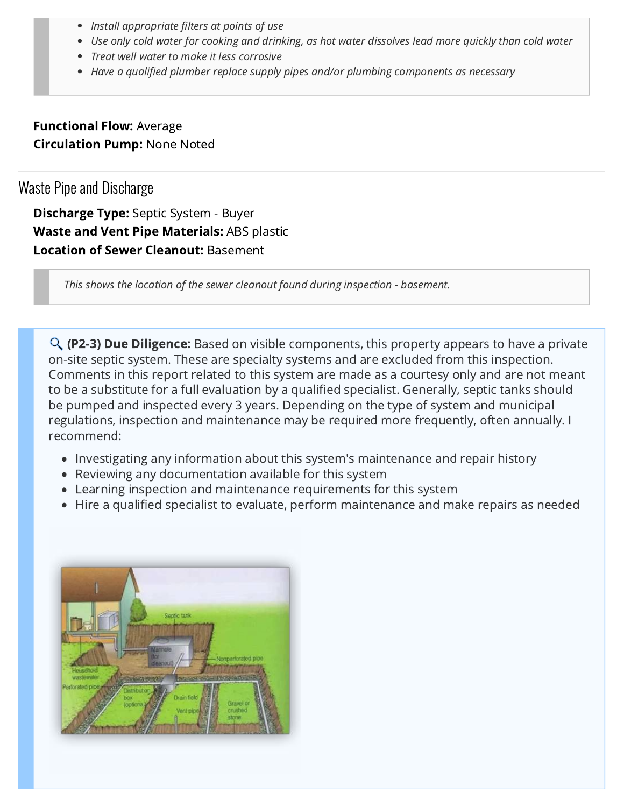- Install appropriate filters at points of use
- Use only cold water for cooking and drinking, as hot water dissolves lead more quickly than cold water
- Treat well water to make it less corrosive
- Have a qualified plumber replace supply pipes and/or plumbing components as necessary

Functional Flow: Average Circulation Pump: None Noted

## Waste Pipe and Discharge

Discharge Type: Septic System - Buyer Waste and Vent Pipe Materials: ABS plastic Location of Sewer Cleanout: Basement

This shows the location of the sewer cleanout found during inspection - basement.

<span id="page-32-0"></span>**(P2-3) Due Diligence:** Based on visible components, this property appears to have a private on-site septic system. These are specialty systems and are excluded from this inspection. Comments in this report related to this system are made as a courtesy only and are not meant to be a substitute for a full evaluation by a qualified specialist. Generally, septic tanks should be pumped and inspected every 3 years. Depending on the type of system and municipal regulations, inspection and maintenance may be required more frequently, often annually. I recommend:

- Investigating any information about this system's maintenance and repair history
- Reviewing any documentation available for this system
- Learning inspection and maintenance requirements for this system
- Hire a qualified specialist to evaluate, perform maintenance and make repairs as needed

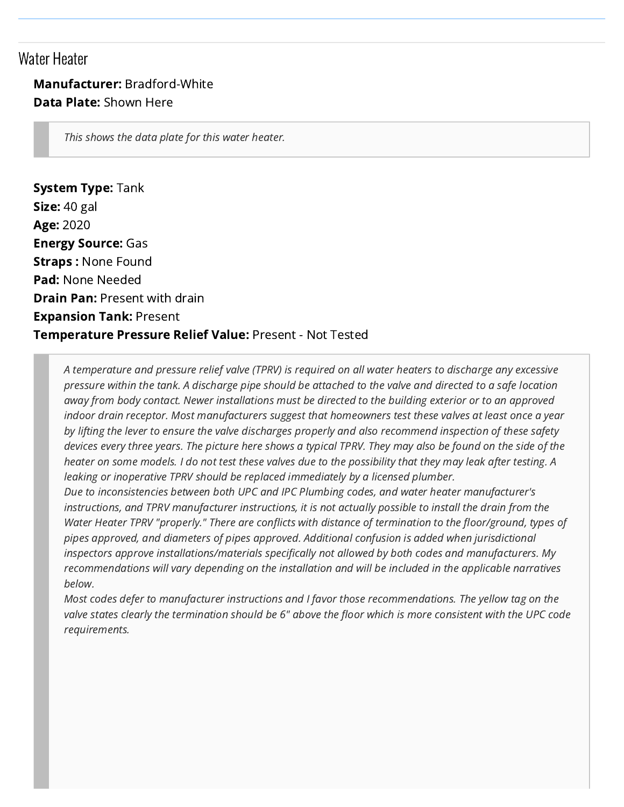## Water Heater

### Manufacturer: Bradford-White Data Plate: Shown Here

This shows the data plate for this water heater.

System Type: Tank Size: 40 gal Age: 2020 Energy Source: Gas Straps : None Found Pad: None Needed **Drain Pan: Present with drain** Expansion Tank: Present Temperature Pressure Relief Value: Present - Not Tested

A temperature and pressure relief valve (TPRV) is required on all water heaters to discharge any excessive pressure within the tank. A discharge pipe should be attached to the valve and directed to a safe location away from body contact. Newer installations must be directed to the building exterior or to an approved indoor drain receptor. Most manufacturers suggest that homeowners test these valves at least once a year by lifting the lever to ensure the valve discharges properly and also recommend inspection of these safety devices every three years. The picture here shows a typical TPRV. They may also be found on the side of the heater on some models. I do not test these valves due to the possibility that they may leak after testing. A leaking or inoperative TPRV should be replaced immediately by a licensed plumber.

Due to inconsistencies between both UPC and IPC Plumbing codes, and water heater manufacturer's instructions, and TPRV manufacturer instructions, it is not actually possible to install the drain from the Water Heater TPRV "properly." There are conflicts with distance of termination to the floor/ground, types of pipes approved, and diameters of pipes approved. Additional confusion is added when jurisdictional inspectors approve installations/materials specifically not allowed by both codes and manufacturers. My recommendations will vary depending on the installation and will be included in the applicable narratives below.

Most codes defer to manufacturer instructions and I favor those recommendations. The yellow tag on the valve states clearly the termination should be 6" above the floor which is more consistent with the UPC code requirements.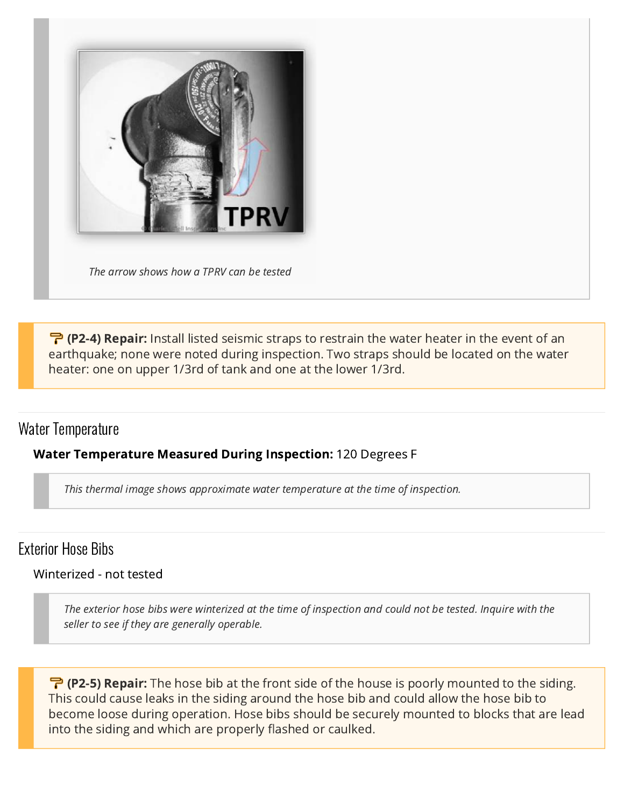

[The arrow shows how a TPRV can be tested](https://reports.getscribeware.com/yNe9aMTyyV6srGt7RzIB/2021/11/04/ad318/TPRV%20test-side-700x500%20(1)%20(1)%20(1).jpg)

<span id="page-34-0"></span>**(P2-4) Repair:** Install listed seismic straps to restrain the water heater in the event of an earthquake; none were noted during inspection. Two straps should be located on the water heater: one on upper 1/3rd of tank and one at the lower 1/3rd.

## Water Temperature

#### Water Temperature Measured During Inspection: 120 Degrees F

This thermal image shows approximate water temperature at the time of inspection.

## Exterior Hose Bibs

#### Winterized - not tested

The exterior hose bibs were winterized at the time of inspection and could not be tested. Inquire with the seller to see if they are generally operable.

<span id="page-34-1"></span>**(P2-5) Repair:** The hose bib at the front side of the house is poorly mounted to the siding. This could cause leaks in the siding around the hose bib and could allow the hose bib to become loose during operation. Hose bibs should be securely mounted to blocks that are lead into the siding and which are properly flashed or caulked.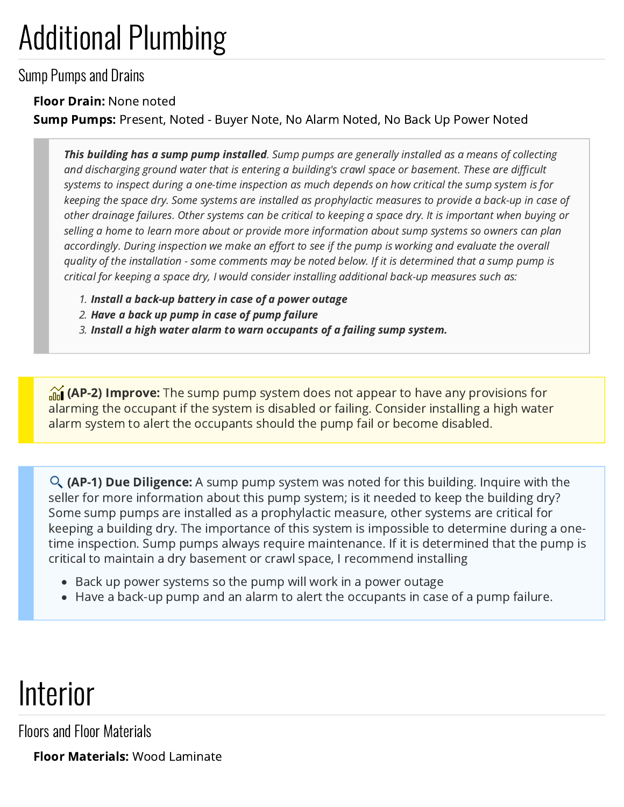# Additional Plumbing

Sump Pumps and Drains

### Floor Drain: None noted

Sump Pumps: Present, Noted - Buyer Note, No Alarm Noted, No Back Up Power Noted

This building has a sump pump installed. Sump pumps are generally installed as a means of collecting and discharging ground water that is entering a building's crawl space or basement. These are difficult systems to inspect during a one-time inspection as much depends on how critical the sump system is for keeping the space dry. Some systems are installed as prophylactic measures to provide a back-up in case of other drainage failures. Other systems can be critical to keeping a space dry. It is important when buying or selling a home to learn more about or provide more information about sump systems so owners can plan accordingly. During inspection we make an effort to see if the pump is working and evaluate the overall quality of the installation - some comments may be noted below. If it is determined that a sump pump is critical for keeping a space dry, I would consider installing additional back-up measures such as:

- 1. Install a back-up battery in case of a power outage
- 2. Have a back up pump in case of pump failure
- 3. Install a high water alarm to warn occupants of a failing sump system.

<span id="page-35-0"></span>**(AP-2) Improve:** The sump pump system does not appear to have any provisions for alarming the occupant if the system is disabled or failing. Consider installing a high water alarm system to alert the occupants should the pump fail or become disabled.

<span id="page-35-1"></span>**(AP-1) Due Diligence:** A sump pump system was noted for this building. Inquire with the seller for more information about this pump system; is it needed to keep the building dry? Some sump pumps are installed as a prophylactic measure, other systems are critical for keeping a building dry. The importance of this system is impossible to determine during a onetime inspection. Sump pumps always require maintenance. If it is determined that the pump is critical to maintain a dry basement or crawl space, I recommend installing

- Back up power systems so the pump will work in a power outage
- Have a back-up pump and an alarm to alert the occupants in case of a pump failure.

## Interior

Floors and Floor Materials

Floor Materials: Wood Laminate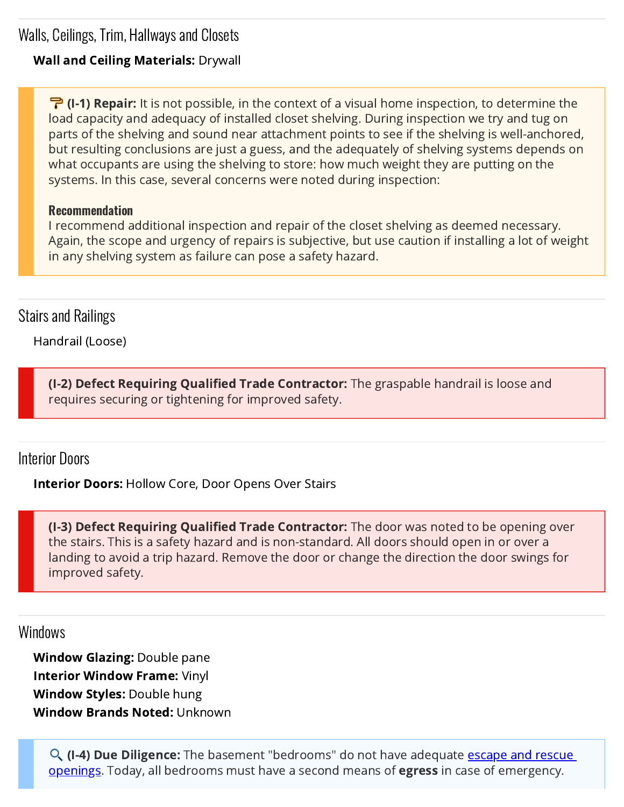Walls, Ceilings, Trim, Hallways and Closets

### Wall and Ceiling Materials: Drywall

<span id="page-36-2"></span>**(I-1) Repair:** It is not possible, in the context of a visual home inspection, to determine the load capacity and adequacy of installed closet shelving. During inspection we try and tug on parts of the shelving and sound near attachment points to see if the shelving is well-anchored, but resulting conclusions are just a guess, and the adequately of shelving systems depends on what occupants are using the shelving to store: how much weight they are putting on the systems. In this case, several concerns were noted during inspection:

#### Recommendation

I recommend additional inspection and repair of the closet shelving as deemed necessary. Again, the scope and urgency of repairs is subjective, but use caution if installing a lot of weight in any shelving system as failure can pose a safety hazard.

## Stairs and Railings

Handrail (Loose)

<span id="page-36-0"></span>(I-2) Defect Requiring Qualified Trade Contractor: The graspable handrail is loose and requires securing or tightening for improved safety.

## Interior Doors

**Interior Doors: Hollow Core, Door Opens Over Stairs** 

<span id="page-36-1"></span>**(I-3) Defect Requiring Qualified Trade Contractor:** The door was noted to be opening over the stairs. This is a safety hazard and is non-standard. All doors should open in or over a landing to avoid a trip hazard. Remove the door or change the direction the door swings for improved safety.

### Windows

Window Glazing: Double pane Interior Window Frame: Vinyl Window Styles: Double hung Window Brands Noted: Unknown

<span id="page-36-3"></span>**(I-4) Due Diligence:** The basement "bedrooms" do not have adequate <u>escape and rescue</u> openings. Today, all bedrooms must have a second means of **egress** in case of emergency.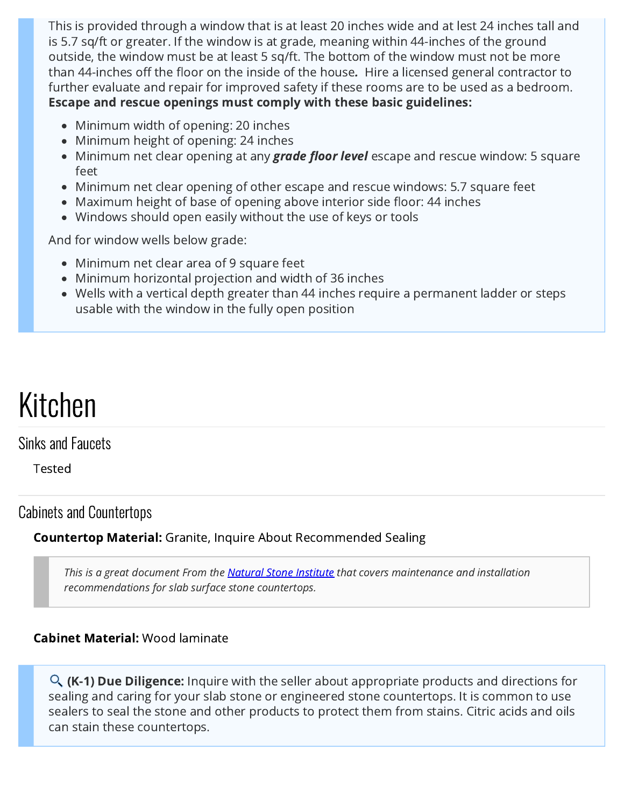This is provided through a window that is at least 20 inches wide and at lest 24 inches tall and is 5.7 sq/ft or greater. If the window is at grade, meaning within 44-inches of the ground outside, the window must be at least 5 sq/ft. The bottom of the window must not be more than 44-inches off the floor on the inside of the house. Hire a licensed general contractor to further evaluate and repair for improved safety if these rooms are to be used as a bedroom. Escape and rescue openings must comply with these basic guidelines:

- Minimum width of opening: 20 inches
- Minimum height of opening: 24 inches
- Minimum net clear opening at any **grade floor level** escape and rescue window: 5 square feet
- Minimum net clear opening of other escape and rescue windows: 5.7 square feet
- Maximum height of base of opening above interior side floor: 44 inches
- Windows should open easily without the use of keys or tools

And for window wells below grade:

- Minimum net clear area of 9 square feet
- Minimum horizontal projection and width of 36 inches
- Wells with a vertical depth greater than 44 inches require a permanent ladder or steps usable with the window in the fully open position

# Kitchen

## Sinks and Faucets

Tested

## Cabinets and Countertops

## **Countertop Material:** Granite, Inquire About Recommended Sealing

This is a great document From the [Natural Stone Institute](https://pubs.naturalstoneinstitute.org/pub/2e5df1e3-b07f-609e-2ce7-e67c2d781e33?fbclid=IwAR335RECyQYy1tEwmigkTSQcv3qRP95z7gVbd9iNZQHuEyXus6_8ESzWPnQ) that covers maintenance and installation recommendations for slab surface stone countertops.

## Cabinet Material: Wood laminate

<span id="page-37-0"></span>**(K-1) Due Diligence:** Inquire with the seller about appropriate products and directions for sealing and caring for your slab stone or engineered stone countertops. It is common to use sealers to seal the stone and other products to protect them from stains. Citric acids and oils can stain these countertops.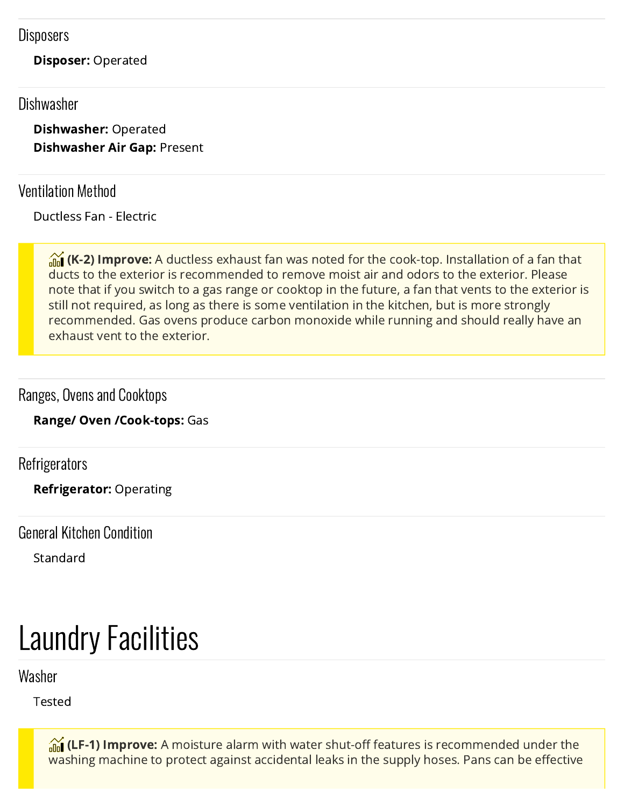### **Disposers**

Disposer: Operated

## Dishwasher

Dishwasher: Operated Dishwasher Air Gap: Present

## Ventilation Method

Ductless Fan - Electric

<span id="page-38-0"></span>**(K-2) Improve:** A ductless exhaust fan was noted for the cook-top. Installation of a fan that ducts to the exterior is recommended to remove moist air and odors to the exterior. Please note that if you switch to a gas range or cooktop in the future, a fan that vents to the exterior is still not required, as long as there is some ventilation in the kitchen, but is more strongly recommended. Gas ovens produce carbon monoxide while running and should really have an exhaust vent to the exterior.

## Ranges, Ovens and Cooktops

Range/ Oven /Cook-tops: Gas

**Refrigerators** 

Refrigerator: Operating

General Kitchen Condition

Standard

# Laundry Facilities

Washer

Tested

<span id="page-38-1"></span>**(LF-1) Improve:** A moisture alarm with water shut-off features is recommended under the washing machine to protect against accidental leaks in the supply hoses. Pans can be effective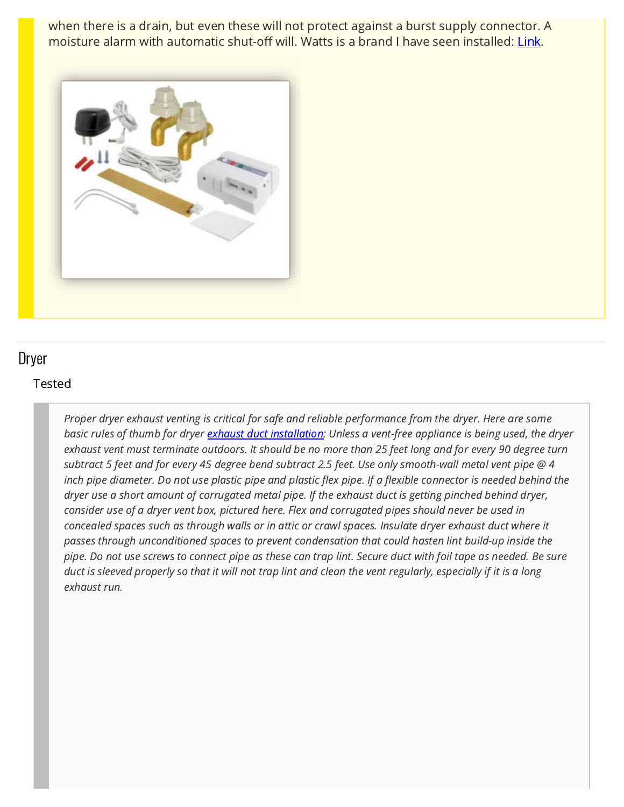when there is a drain, but even these will not protect against a burst supply connector. A moisture alarm with automatic shut-off will. Watts is a brand I have seen installed: [Link](https://www.watts.com/our-story/brands/intelliflow).



### Dryer

#### Tested

Proper dryer exhaust venting is critical for safe and reliable performance from the dryer. Here are some basic rules of thumb for dryer [exhaust duct installation:](https://www.thespruce.com/dryer-vent-safety-1824762) Unless a vent-free appliance is being used, the dryer exhaust vent must terminate outdoors. It should be no more than 25 feet long and for every 90 degree turn subtract 5 feet and for every 45 degree bend subtract 2.5 feet. Use only smooth-wall metal vent pipe @ 4 inch pipe diameter. Do not use plastic pipe and plastic flex pipe. If a flexible connector is needed behind the dryer use a short amount of corrugated metal pipe. If the exhaust duct is getting pinched behind dryer, consider use of a dryer vent box, pictured here. Flex and corrugated pipes should never be used in concealed spaces such as through walls or in attic or crawl spaces. Insulate dryer exhaust duct where it passes through unconditioned spaces to prevent condensation that could hasten lint build-up inside the pipe. Do not use screws to connect pipe as these can trap lint. Secure duct with foil tape as needed. Be sure duct is sleeved properly so that it will not trap lint and clean the vent regularly, especially if it is a long exhaust run.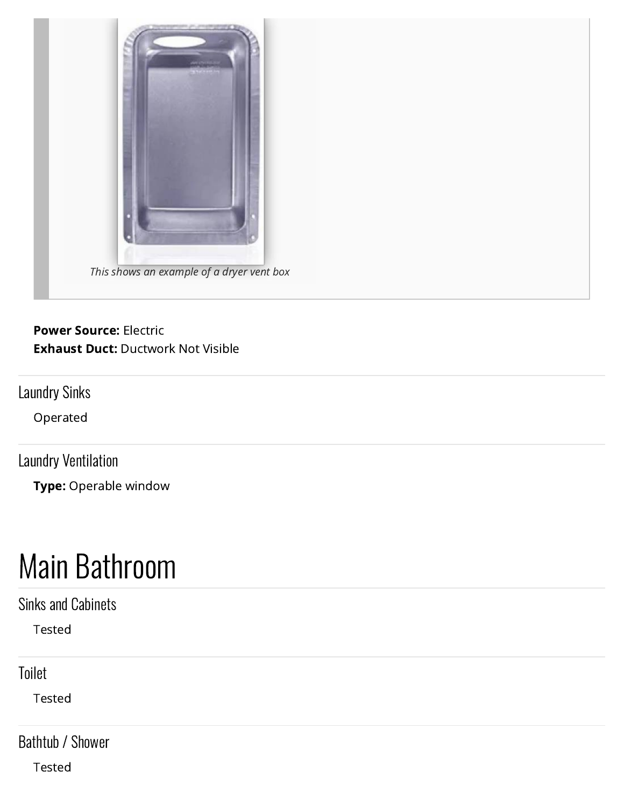

### Power Source: Electric Exhaust Duct: Ductwork Not Visible

Laundry Sinks

Operated

Laundry Ventilation

Type: Operable window

## Main Bathroom

Sinks and Cabinets

Tested

Toilet

Tested

Bathtub / Shower

Tested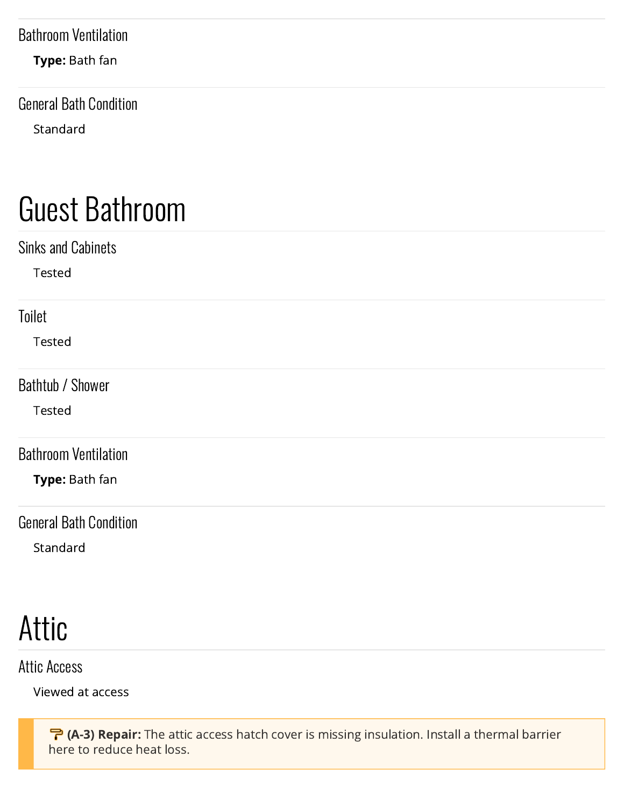## Bathroom Ventilation

Type: Bath fan

General Bath Condition Standard

# Guest Bathroom

| <b>Sinks and Cabinets</b>     |  |  |
|-------------------------------|--|--|
| Tested                        |  |  |
| Toilet                        |  |  |
| Tested                        |  |  |
| <b>Bathtub / Shower</b>       |  |  |
| Tested                        |  |  |
| <b>Bathroom Ventilation</b>   |  |  |
| Type: Bath fan                |  |  |
| <b>General Bath Condition</b> |  |  |
| Standard                      |  |  |
|                               |  |  |
| Attic                         |  |  |

Attic Access

Viewed at access

<span id="page-41-0"></span>**(A-3) Repair:** The attic access hatch cover is missing insulation. Install a thermal barrier here to reduce heat loss.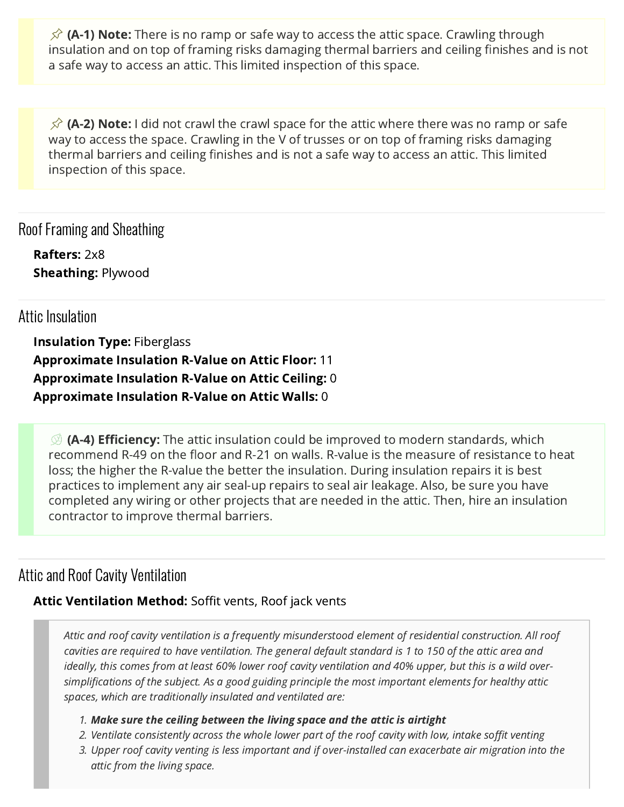<span id="page-42-1"></span>**(A-1) Note:** There is no ramp or safe way to access the attic space. Crawling through insulation and on top of framing risks damaging thermal barriers and ceiling finishes and is not a safe way to access an attic. This limited inspection of this space.

<span id="page-42-2"></span>**(A-2) Note:** I did not crawl the crawl space for the attic where there was no ramp or safe way to access the space. Crawling in the V of trusses or on top of framing risks damaging thermal barriers and ceiling finishes and is not a safe way to access an attic. This limited inspection of this space.

Roof Framing and Sheathing

Rafters: 2x8 Sheathing: Plywood

## Attic Insulation

Insulation Type: Fiberglass Approximate Insulation R-Value on Attic Floor: 11 Approximate Insulation R-Value on Attic Ceiling: 0 Approximate Insulation R-Value on Attic Walls: 0

<span id="page-42-0"></span>**(A-4) Efficiency:** The attic insulation could be improved to modern standards, which recommend R-49 on the floor and R-21 on walls. R-value is the measure of resistance to heat loss; the higher the R-value the better the insulation. During insulation repairs it is best practices to implement any air seal-up repairs to seal air leakage. Also, be sure you have completed any wiring or other projects that are needed in the attic. Then, hire an insulation contractor to improve thermal barriers.

## Attic and Roof Cavity Ventilation

### Attic Ventilation Method: Soffit vents, Roof jack vents

Attic and roof cavity ventilation is a frequently misunderstood element of residential construction. All roof cavities are required to have ventilation. The general default standard is 1 to 150 of the attic area and ideally, this comes from at least 60% lower roof cavity ventilation and 40% upper, but this is a wild oversimplifications of the subject. As a good guiding principle the most important elements for healthy attic spaces, which are traditionally insulated and ventilated are:

#### 1. Make sure the ceiling between the living space and the attic is airtight

- 2. Ventilate consistently across the whole lower part of the roof cavity with low, intake soffit venting
- 3. Upper roof cavity venting is less important and if over-installed can exacerbate air migration into the attic from the living space.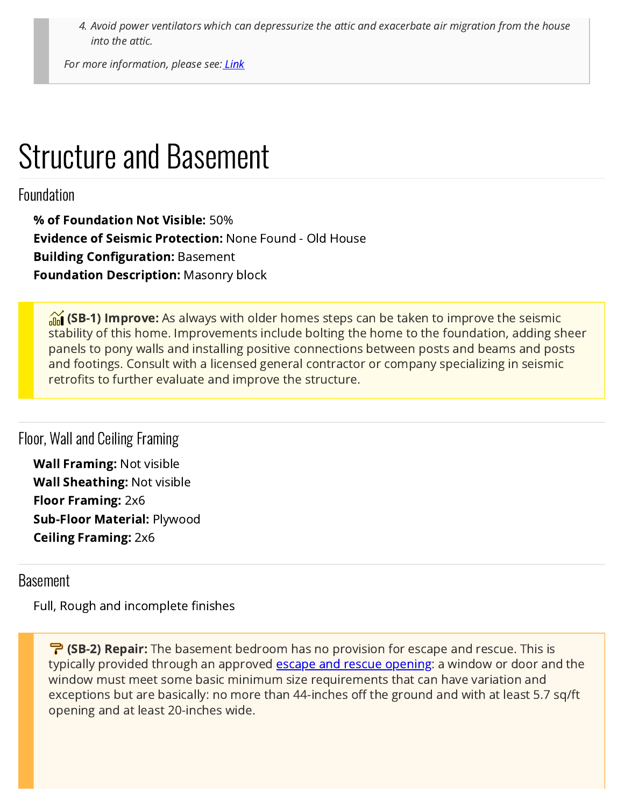4. Avoid power ventilators which can depressurize the attic and exacerbate air migration from the house into the attic.

For more information, please see[: Link](https://www.greenbuildingadvisor.com/article/lstibureks-rules-for-venting-roofs)

## Structure and Basement

## Foundation

% of Foundation Not Visible: 50% Evidence of Seismic Protection: None Found - Old House Building Configuration: Basement Foundation Description: Masonry block

<span id="page-43-1"></span>**(SB-1) Improve:** As always with older homes steps can be taken to improve the seismic stability of this home. Improvements include bolting the home to the foundation, adding sheer panels to pony walls and installing positive connections between posts and beams and posts and footings. Consult with a licensed general contractor or company specializing in seismic retrofits to further evaluate and improve the structure.

### Floor, Wall and Ceiling Framing

Wall Framing: Not visible Wall Sheathing: Not visible Floor Framing: 2x6 Sub-Floor Material: Plywood Ceiling Framing: 2x6

### Basement

Full, Rough and incomplete finishes

<span id="page-43-0"></span>**(SB-2) Repair:** The basement bedroom has no provision for escape and rescue. This is typically provided through an approved **escape and rescue opening**: a window or door and the window must meet some basic minimum size requirements that can have variation and exceptions but are basically: no more than 44-inches off the ground and with at least 5.7 sq/ft opening and at least 20-inches wide.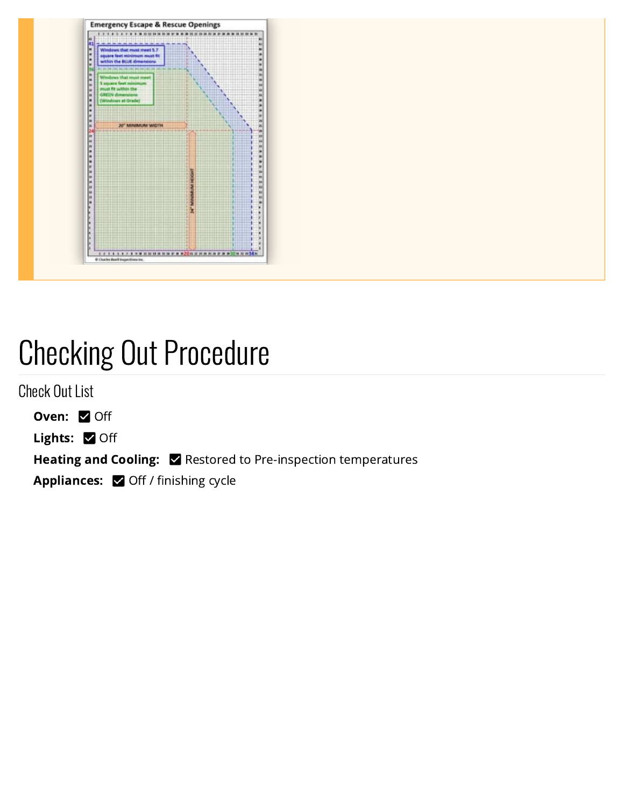

## Checking Out Procedure

Check Out List

Oven: Ø Off

Lights: 0 Off

Heating and Cooling: **Example 2** Restored to Pre-inspection temperatures

Appliances: Ø Off / finishing cycle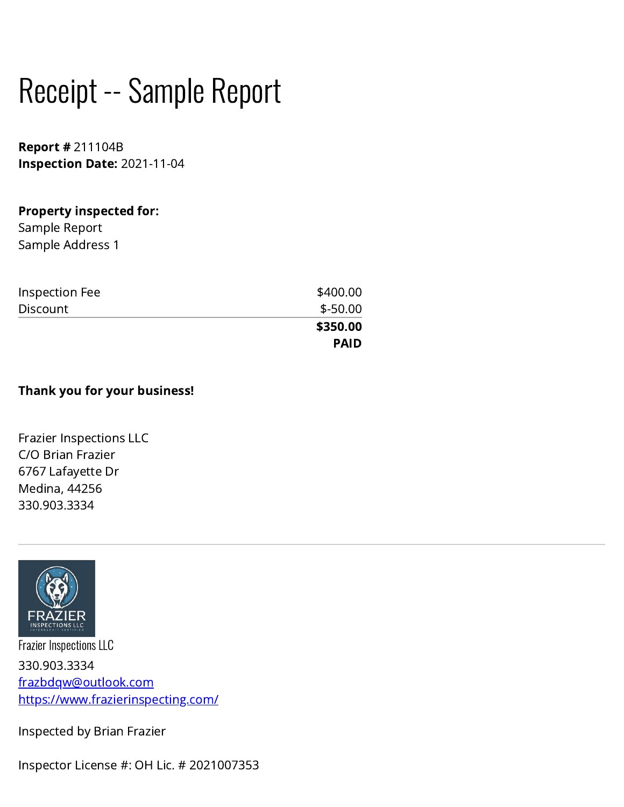# Receipt -- Sample Report

Report # 211104B Inspection Date: 2021-11-04

### Property inspected for:

Sample Report Sample Address 1

| Inspection Fee  | \$400.00    |
|-----------------|-------------|
| <b>Discount</b> | $$ -50.00$  |
|                 | \$350.00    |
|                 | <b>PAID</b> |

### Thank you for your business!

Frazier Inspections LLC C/O Brian Frazier 6767 Lafayette Dr Medina, 44256 330.903.3334



Frazier Inspections LLC 330.903.3334 [frazbdqw@outlook.com](mailto:frazbdqw@outlook.com?subject=My%20Frazier%20Inspections%20LLC%20Inspection%20Report) <https://www.frazierinspecting.com/>

Inspected by Brian Frazier

Inspector License #: OH Lic. # 2021007353